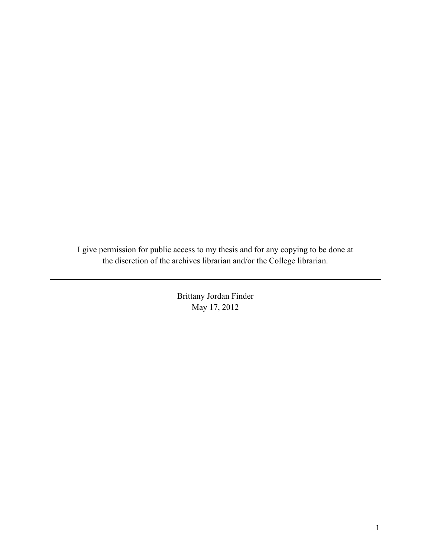I give permission for public access to my thesis and for any copying to be done at the discretion of the archives librarian and/or the College librarian.

> Brittany Jordan Finder May 17, 2012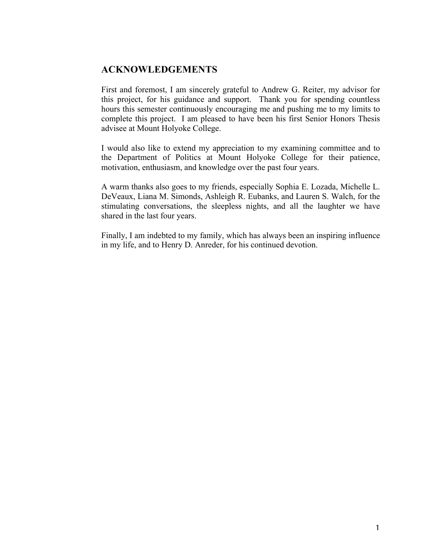## **ACKNOWLEDGEMENTS**

First and foremost, I am sincerely grateful to Andrew G. Reiter, my advisor for this project, for his guidance and support. Thank you for spending countless hours this semester continuously encouraging me and pushing me to my limits to complete this project. I am pleased to have been his first Senior Honors Thesis advisee at Mount Holyoke College.

I would also like to extend my appreciation to my examining committee and to the Department of Politics at Mount Holyoke College for their patience, motivation, enthusiasm, and knowledge over the past four years.

A warm thanks also goes to my friends, especially Sophia E. Lozada, Michelle L. DeVeaux, Liana M. Simonds, Ashleigh R. Eubanks, and Lauren S. Walch, for the stimulating conversations, the sleepless nights, and all the laughter we have shared in the last four years.

Finally, I am indebted to my family, which has always been an inspiring influence in my life, and to Henry D. Anreder, for his continued devotion.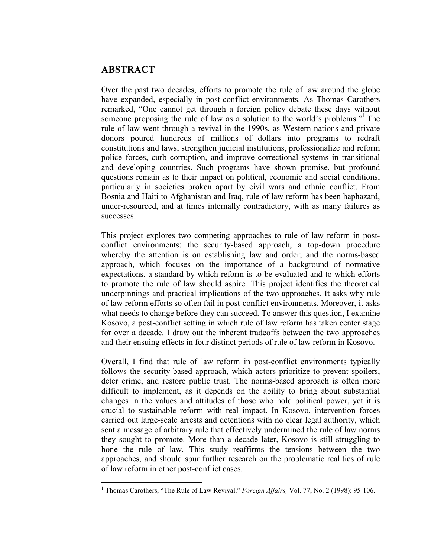### **ABSTRACT**

Over the past two decades, efforts to promote the rule of law around the globe have expanded, especially in post-conflict environments. As Thomas Carothers remarked, "One cannot get through a foreign policy debate these days without someone proposing the rule of law as a solution to the world's problems."<sup>1</sup> The rule of law went through a revival in the 1990s, as Western nations and private donors poured hundreds of millions of dollars into programs to redraft constitutions and laws, strengthen judicial institutions, professionalize and reform police forces, curb corruption, and improve correctional systems in transitional and developing countries. Such programs have shown promise, but profound questions remain as to their impact on political, economic and social conditions, particularly in societies broken apart by civil wars and ethnic conflict. From Bosnia and Haiti to Afghanistan and Iraq, rule of law reform has been haphazard, under-resourced, and at times internally contradictory, with as many failures as successes.

This project explores two competing approaches to rule of law reform in postconflict environments: the security-based approach, a top-down procedure whereby the attention is on establishing law and order; and the norms-based approach, which focuses on the importance of a background of normative expectations, a standard by which reform is to be evaluated and to which efforts to promote the rule of law should aspire. This project identifies the theoretical underpinnings and practical implications of the two approaches. It asks why rule of law reform efforts so often fail in post-conflict environments. Moreover, it asks what needs to change before they can succeed. To answer this question, I examine Kosovo, a post-conflict setting in which rule of law reform has taken center stage for over a decade. I draw out the inherent tradeoffs between the two approaches and their ensuing effects in four distinct periods of rule of law reform in Kosovo.

Overall, I find that rule of law reform in post-conflict environments typically follows the security-based approach, which actors prioritize to prevent spoilers, deter crime, and restore public trust. The norms-based approach is often more difficult to implement, as it depends on the ability to bring about substantial changes in the values and attitudes of those who hold political power, yet it is crucial to sustainable reform with real impact. In Kosovo, intervention forces carried out large-scale arrests and detentions with no clear legal authority, which sent a message of arbitrary rule that effectively undermined the rule of law norms they sought to promote. More than a decade later, Kosovo is still struggling to hone the rule of law. This study reaffirms the tensions between the two approaches, and should spur further research on the problematic realities of rule of law reform in other post-conflict cases.

<sup>&</sup>lt;sup>1</sup> Thomas Carothers, "The Rule of Law Revival." *Foreign Affairs*, Vol. 77, No. 2 (1998): 95-106.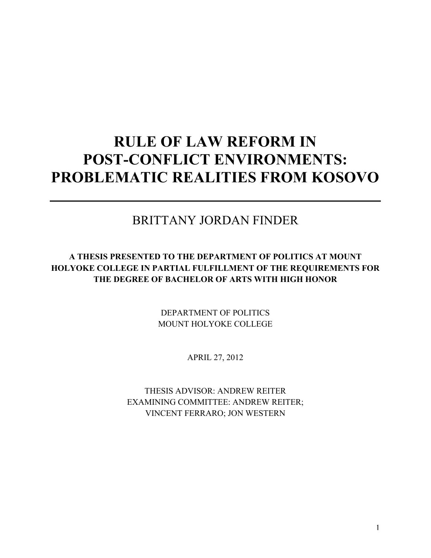# **RULE OF LAW REFORM IN POST-CONFLICT ENVIRONMENTS: PROBLEMATIC REALITIES FROM KOSOVO**

# BRITTANY JORDAN FINDER

### **A THESIS PRESENTED TO THE DEPARTMENT OF POLITICS AT MOUNT HOLYOKE COLLEGE IN PARTIAL FULFILLMENT OF THE REQUIREMENTS FOR THE DEGREE OF BACHELOR OF ARTS WITH HIGH HONOR**

DEPARTMENT OF POLITICS MOUNT HOLYOKE COLLEGE

APRIL 27, 2012

THESIS ADVISOR: ANDREW REITER EXAMINING COMMITTEE: ANDREW REITER; VINCENT FERRARO; JON WESTERN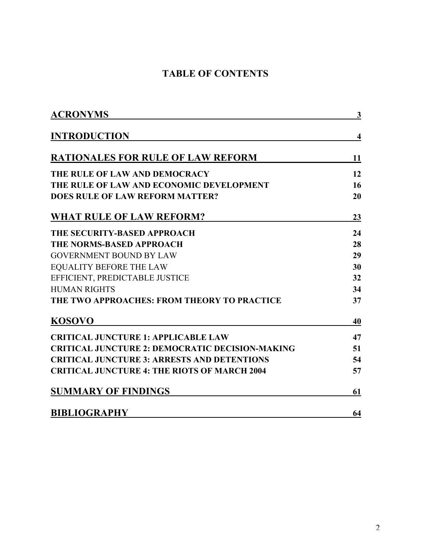# **TABLE OF CONTENTS**

| <b>ACRONYMS</b>                                        | 3                       |
|--------------------------------------------------------|-------------------------|
| <b>INTRODUCTION</b>                                    | $\overline{\mathbf{4}}$ |
| <b>RATIONALES FOR RULE OF LAW REFORM</b>               | 11                      |
| THE RULE OF LAW AND DEMOCRACY                          | 12                      |
| THE RULE OF LAW AND ECONOMIC DEVELOPMENT               | 16                      |
| <b>DOES RULE OF LAW REFORM MATTER?</b>                 | 20                      |
| <b>WHAT RULE OF LAW REFORM?</b>                        | 23                      |
| THE SECURITY-BASED APPROACH                            | 24                      |
| <b>THE NORMS-BASED APPROACH</b>                        | 28                      |
| <b>GOVERNMENT BOUND BY LAW</b>                         | 29                      |
| <b>EQUALITY BEFORE THE LAW</b>                         | 30                      |
| EFFICIENT, PREDICTABLE JUSTICE                         | 32                      |
| <b>HUMAN RIGHTS</b>                                    | 34                      |
| THE TWO APPROACHES: FROM THEORY TO PRACTICE            | 37                      |
| <b>KOSOVO</b>                                          | 40                      |
| <b>CRITICAL JUNCTURE 1: APPLICABLE LAW</b>             | 47                      |
| <b>CRITICAL JUNCTURE 2: DEMOCRATIC DECISION-MAKING</b> | 51                      |
| <b>CRITICAL JUNCTURE 3: ARRESTS AND DETENTIONS</b>     | 54                      |
| <b>CRITICAL JUNCTURE 4: THE RIOTS OF MARCH 2004</b>    | 57                      |
| <b>SUMMARY OF FINDINGS</b>                             | 61                      |
| <b>BIBLIOGRAPHY</b>                                    | 64                      |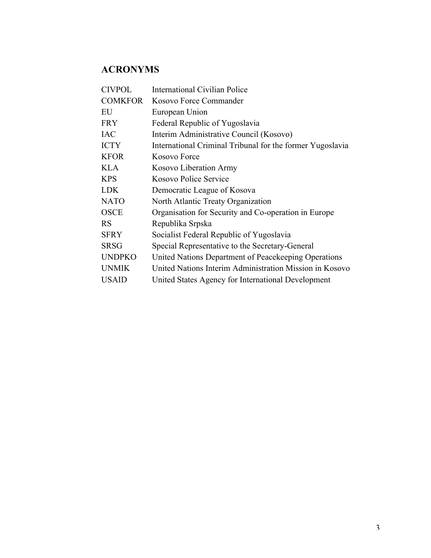# **ACRONYMS**

| <b>International Civilian Police</b>                      |
|-----------------------------------------------------------|
| Kosovo Force Commander                                    |
| European Union                                            |
| Federal Republic of Yugoslavia                            |
| Interim Administrative Council (Kosovo)                   |
| International Criminal Tribunal for the former Yugoslavia |
| Kosovo Force                                              |
| Kosovo Liberation Army                                    |
| Kosovo Police Service                                     |
| Democratic League of Kosova                               |
| North Atlantic Treaty Organization                        |
| Organisation for Security and Co-operation in Europe      |
| Republika Srpska                                          |
| Socialist Federal Republic of Yugoslavia                  |
| Special Representative to the Secretary-General           |
| United Nations Department of Peacekeeping Operations      |
| United Nations Interim Administration Mission in Kosovo   |
| United States Agency for International Development        |
|                                                           |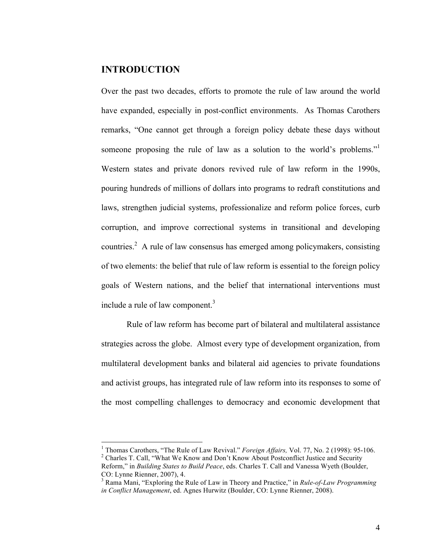#### **INTRODUCTION**

Over the past two decades, efforts to promote the rule of law around the world have expanded, especially in post-conflict environments. As Thomas Carothers remarks, "One cannot get through a foreign policy debate these days without someone proposing the rule of law as a solution to the world's problems."<sup>1</sup> Western states and private donors revived rule of law reform in the 1990s, pouring hundreds of millions of dollars into programs to redraft constitutions and laws, strengthen judicial systems, professionalize and reform police forces, curb corruption, and improve correctional systems in transitional and developing countries.<sup>2</sup> A rule of law consensus has emerged among policymakers, consisting of two elements: the belief that rule of law reform is essential to the foreign policy goals of Western nations, and the belief that international interventions must include a rule of law component. $3$ 

Rule of law reform has become part of bilateral and multilateral assistance strategies across the globe. Almost every type of development organization, from multilateral development banks and bilateral aid agencies to private foundations and activist groups, has integrated rule of law reform into its responses to some of the most compelling challenges to democracy and economic development that

 $\frac{1}{1}$  Themes Carothers. "The Puls of I <sup>1</sup> Thomas Carothers, "The Rule of Law Revival." *Foreign Affairs*, Vol. 77, No. 2 (1998): 95-106.<br><sup>2</sup> Charles T. Call "What We Know and Dan't Know About Basteau list Iustice and Sequrity. <sup>2</sup> Charles T. Call, "What We Know and Don't Know About Postconflict Justice and Security

Reform," in *Building States to Build Peace*, eds. Charles T. Call and Vanessa Wyeth (Boulder, CO: Lynne Rienner, 2007), 4.

<sup>3</sup> Rama Mani, "Exploring the Rule of Law in Theory and Practice," in *Rule-of-Law Programming in Conflict Management*, ed. Agnes Hurwitz (Boulder, CO: Lynne Rienner, 2008).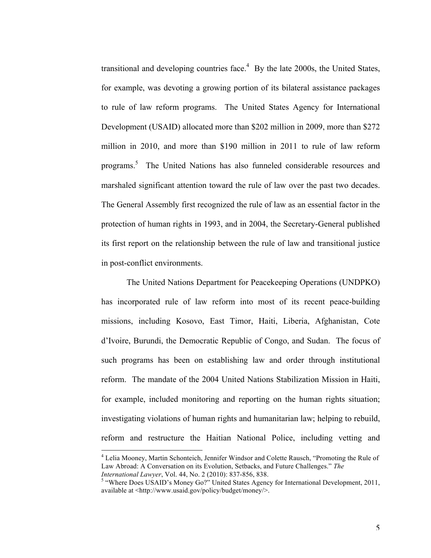transitional and developing countries face. $4$  By the late 2000s, the United States, for example, was devoting a growing portion of its bilateral assistance packages to rule of law reform programs. The United States Agency for International Development (USAID) allocated more than \$202 million in 2009, more than \$272 million in 2010, and more than \$190 million in 2011 to rule of law reform programs.<sup>5</sup> The United Nations has also funneled considerable resources and marshaled significant attention toward the rule of law over the past two decades. The General Assembly first recognized the rule of law as an essential factor in the protection of human rights in 1993, and in 2004, the Secretary-General published its first report on the relationship between the rule of law and transitional justice in post-conflict environments.

The United Nations Department for Peacekeeping Operations (UNDPKO) has incorporated rule of law reform into most of its recent peace-building missions, including Kosovo, East Timor, Haiti, Liberia, Afghanistan, Cote d'Ivoire, Burundi, the Democratic Republic of Congo, and Sudan. The focus of such programs has been on establishing law and order through institutional reform. The mandate of the 2004 United Nations Stabilization Mission in Haiti, for example, included monitoring and reporting on the human rights situation; investigating violations of human rights and humanitarian law; helping to rebuild, reform and restructure the Haitian National Police, including vetting and

<sup>&</sup>lt;sup>4</sup> Lelia Mooney, Martin Schonteich, Jennifer Windsor and Colette Rausch, "Promoting the Rule of Law Abroad: A Conversation on its Evolution, Setbacks, and Future Challenges." *The International Lawyer*, Vol. 44, No. 2 (2010): 837-856, 838.

<sup>&</sup>lt;sup>5</sup> "Where Does USAID's Money Go?" United States Agency for International Development, 2011, available at <http://www.usaid.gov/policy/budget/money/>.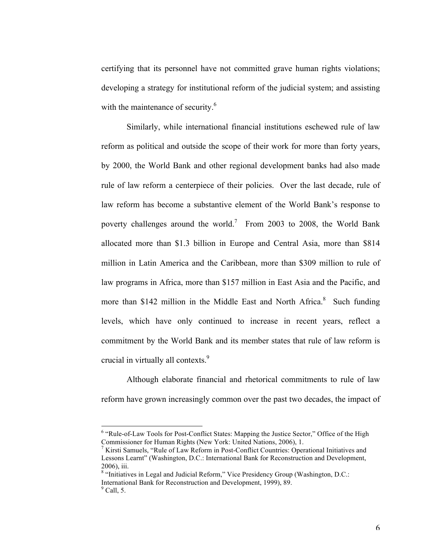certifying that its personnel have not committed grave human rights violations; developing a strategy for institutional reform of the judicial system; and assisting with the maintenance of security.<sup>6</sup>

Similarly, while international financial institutions eschewed rule of law reform as political and outside the scope of their work for more than forty years, by 2000, the World Bank and other regional development banks had also made rule of law reform a centerpiece of their policies. Over the last decade, rule of law reform has become a substantive element of the World Bank's response to poverty challenges around the world.<sup>7</sup> From 2003 to 2008, the World Bank allocated more than \$1.3 billion in Europe and Central Asia, more than \$814 million in Latin America and the Caribbean, more than \$309 million to rule of law programs in Africa, more than \$157 million in East Asia and the Pacific, and more than \$142 million in the Middle East and North Africa.<sup>8</sup> Such funding levels, which have only continued to increase in recent years, reflect a commitment by the World Bank and its member states that rule of law reform is crucial in virtually all contexts. 9

Although elaborate financial and rhetorical commitments to rule of law reform have grown increasingly common over the past two decades, the impact of

<sup>&</sup>lt;sup>6</sup> "Rule-of-Law Tools for Post-Conflict States: Mapping the Justice Sector," Office of the High Commissioner for Human Rights (New York: United Nations, 2006), 1.

<sup>7</sup> Kirsti Samuels, "Rule of Law Reform in Post-Conflict Countries: Operational Initiatives and Lessons Learnt" (Washington, D.C.: International Bank for Reconstruction and Development, 2006), iii.

<sup>&</sup>lt;sup>8</sup> "Initiatives in Legal and Judicial Reform," Vice Presidency Group (Washington, D.C.: International Bank for Reconstruction and Development, 1999), 89.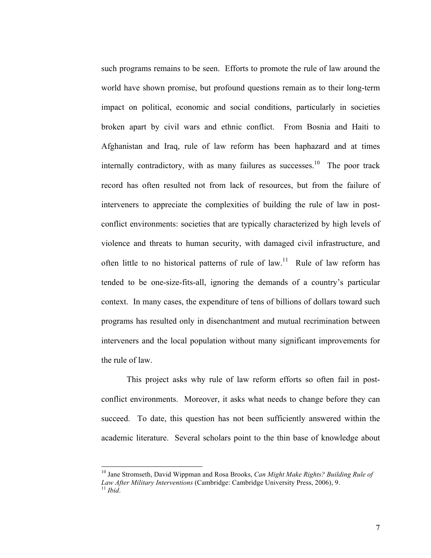such programs remains to be seen. Efforts to promote the rule of law around the world have shown promise, but profound questions remain as to their long-term impact on political, economic and social conditions, particularly in societies broken apart by civil wars and ethnic conflict. From Bosnia and Haiti to Afghanistan and Iraq, rule of law reform has been haphazard and at times internally contradictory, with as many failures as successes.<sup>10</sup> The poor track record has often resulted not from lack of resources, but from the failure of interveners to appreciate the complexities of building the rule of law in postconflict environments: societies that are typically characterized by high levels of violence and threats to human security, with damaged civil infrastructure, and often little to no historical patterns of rule of law.<sup>11</sup> Rule of law reform has tended to be one-size-fits-all, ignoring the demands of a country's particular context. In many cases, the expenditure of tens of billions of dollars toward such programs has resulted only in disenchantment and mutual recrimination between interveners and the local population without many significant improvements for the rule of law.

This project asks why rule of law reform efforts so often fail in postconflict environments. Moreover, it asks what needs to change before they can succeed. To date, this question has not been sufficiently answered within the academic literature. Several scholars point to the thin base of knowledge about

<sup>&</sup>lt;sup>10</sup> Jane Stromseth, David Wippman and Rosa Brooks, *Can Might Make Rights? Building Rule of Law After Military Interventions* (Cambridge: Cambridge University Press, 2006), 9.<br><sup>11</sup> *Ibid*.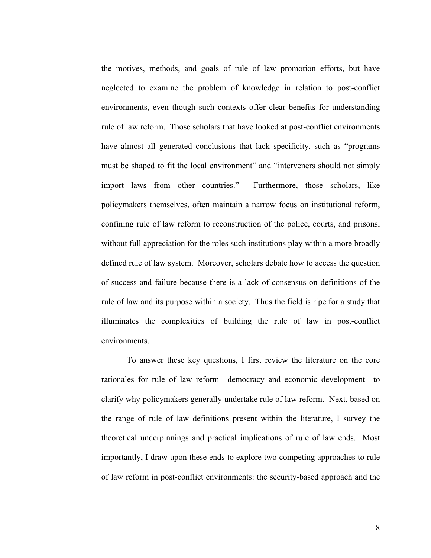the motives, methods, and goals of rule of law promotion efforts, but have neglected to examine the problem of knowledge in relation to post-conflict environments, even though such contexts offer clear benefits for understanding rule of law reform. Those scholars that have looked at post-conflict environments have almost all generated conclusions that lack specificity, such as "programs must be shaped to fit the local environment" and "interveners should not simply import laws from other countries." Furthermore, those scholars, like policymakers themselves, often maintain a narrow focus on institutional reform, confining rule of law reform to reconstruction of the police, courts, and prisons, without full appreciation for the roles such institutions play within a more broadly defined rule of law system. Moreover, scholars debate how to access the question of success and failure because there is a lack of consensus on definitions of the rule of law and its purpose within a society. Thus the field is ripe for a study that illuminates the complexities of building the rule of law in post-conflict environments.

To answer these key questions, I first review the literature on the core rationales for rule of law reform—democracy and economic development—to clarify why policymakers generally undertake rule of law reform. Next, based on the range of rule of law definitions present within the literature, I survey the theoretical underpinnings and practical implications of rule of law ends. Most importantly, I draw upon these ends to explore two competing approaches to rule of law reform in post-conflict environments: the security-based approach and the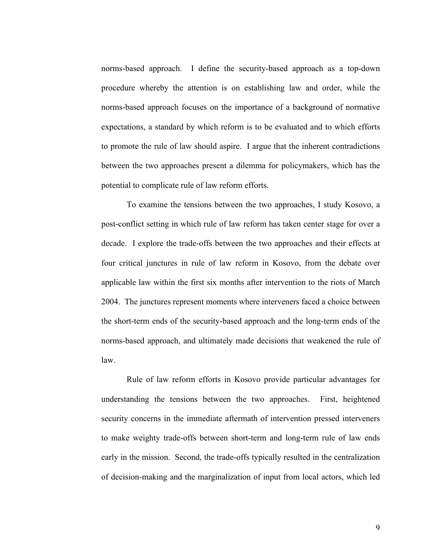norms-based approach. I define the security-based approach as a top-down procedure whereby the attention is on establishing law and order, while the norms-based approach focuses on the importance of a background of normative expectations, a standard by which reform is to be evaluated and to which efforts to promote the rule of law should aspire. I argue that the inherent contradictions between the two approaches present a dilemma for policymakers, which has the potential to complicate rule of law reform efforts.

To examine the tensions between the two approaches, I study Kosovo, a post-conflict setting in which rule of law reform has taken center stage for over a decade. I explore the trade-offs between the two approaches and their effects at four critical junctures in rule of law reform in Kosovo, from the debate over applicable law within the first six months after intervention to the riots of March 2004. The junctures represent moments where interveners faced a choice between the short-term ends of the security-based approach and the long-term ends of the norms-based approach, and ultimately made decisions that weakened the rule of law.

Rule of law reform efforts in Kosovo provide particular advantages for understanding the tensions between the two approaches. First, heightened security concerns in the immediate aftermath of intervention pressed interveners to make weighty trade-offs between short-term and long-term rule of law ends early in the mission. Second, the trade-offs typically resulted in the centralization of decision-making and the marginalization of input from local actors, which led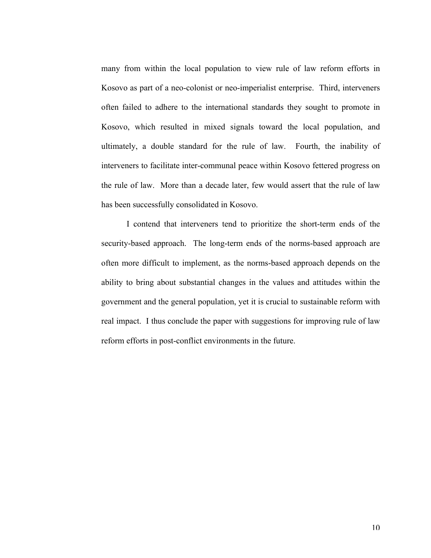many from within the local population to view rule of law reform efforts in Kosovo as part of a neo-colonist or neo-imperialist enterprise. Third, interveners often failed to adhere to the international standards they sought to promote in Kosovo, which resulted in mixed signals toward the local population, and ultimately, a double standard for the rule of law. Fourth, the inability of interveners to facilitate inter-communal peace within Kosovo fettered progress on the rule of law. More than a decade later, few would assert that the rule of law has been successfully consolidated in Kosovo.

I contend that interveners tend to prioritize the short-term ends of the security-based approach. The long-term ends of the norms-based approach are often more difficult to implement, as the norms-based approach depends on the ability to bring about substantial changes in the values and attitudes within the government and the general population, yet it is crucial to sustainable reform with real impact. I thus conclude the paper with suggestions for improving rule of law reform efforts in post-conflict environments in the future.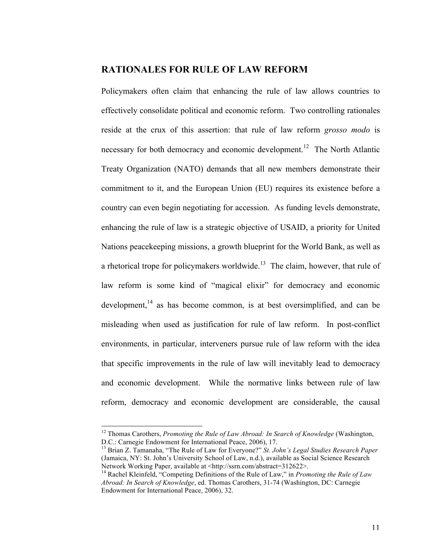#### **RATIONALES FOR RULE OF LAW REFORM**

Policymakers often claim that enhancing the rule of law allows countries to effectively consolidate political and economic reform. Two controlling rationales reside at the crux of this assertion: that rule of law reform *grosso modo* is necessary for both democracy and economic development.<sup>12</sup> The North Atlantic Treaty Organization (NATO) demands that all new members demonstrate their commitment to it, and the European Union (EU) requires its existence before a country can even begin negotiating for accession. As funding levels demonstrate, enhancing the rule of law is a strategic objective of USAID, a priority for United Nations peacekeeping missions, a growth blueprint for the World Bank, as well as a rhetorical trope for policymakers worldwide.<sup>13</sup> The claim, however, that rule of law reform is some kind of "magical elixir" for democracy and economic development,  $14$  as has become common, is at best oversimplified, and can be misleading when used as justification for rule of law reform. In post-conflict environments, in particular, interveners pursue rule of law reform with the idea that specific improvements in the rule of law will inevitably lead to democracy and economic development. While the normative links between rule of law reform, democracy and economic development are considerable, the causal

<sup>&</sup>lt;sup>12</sup> Thomas Carothers, *Promoting the Rule of Law Abroad: In Search of Knowledge* (Washington, D.C.: Carnegie Endowment for International Peace, 2006), 17.

<sup>&</sup>lt;sup>13</sup> Brian Z. Tamanaha, "The Rule of Law for Everyone?" *St. John's Legal Studies Research Paper* (Jamaica, NY: St. John's University School of Law, n.d.), available as Social Science Research Network Working Paper, available at <http://ssrn.com/abstract=312622>. <sup>14</sup> Rachel Kleinfeld, "Competing Definitions of the Rule of Law," in *Promoting the Rule of Law* 

*Abroad: In Search of Knowledge*, ed. Thomas Carothers, 31-74 (Washington, DC: Carnegie Endowment for International Peace, 2006), 32.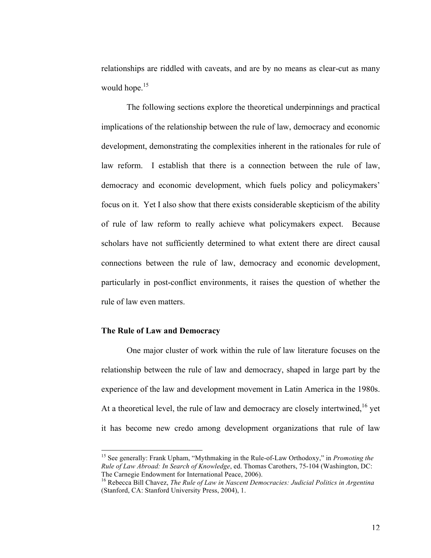relationships are riddled with caveats, and are by no means as clear-cut as many would hope.<sup>15</sup>

The following sections explore the theoretical underpinnings and practical implications of the relationship between the rule of law, democracy and economic development, demonstrating the complexities inherent in the rationales for rule of law reform. I establish that there is a connection between the rule of law, democracy and economic development, which fuels policy and policymakers' focus on it. Yet I also show that there exists considerable skepticism of the ability of rule of law reform to really achieve what policymakers expect. Because scholars have not sufficiently determined to what extent there are direct causal connections between the rule of law, democracy and economic development, particularly in post-conflict environments, it raises the question of whether the rule of law even matters.

#### **The Rule of Law and Democracy**

One major cluster of work within the rule of law literature focuses on the relationship between the rule of law and democracy, shaped in large part by the experience of the law and development movement in Latin America in the 1980s. At a theoretical level, the rule of law and democracy are closely intertwined, $16$  yet it has become new credo among development organizations that rule of law

<sup>&</sup>lt;sup>15</sup> See generally: Frank Upham, "Mythmaking in the Rule-of-Law Orthodoxy," in *Promoting the Rule of Law Abroad: In Search of Knowledge*, ed. Thomas Carothers, 75-104 (Washington, DC: The Carnegie Endowment for International Peace, 2006).

<sup>16</sup> Rebecca Bill Chavez, *The Rule of Law in Nascent Democracies: Judicial Politics in Argentina* (Stanford, CA: Stanford University Press, 2004), 1.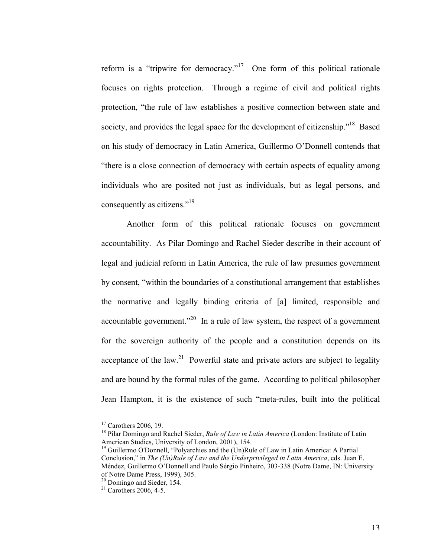reform is a "tripwire for democracy."17 One form of this political rationale focuses on rights protection. Through a regime of civil and political rights protection, "the rule of law establishes a positive connection between state and society, and provides the legal space for the development of citizenship."<sup>18</sup> Based on his study of democracy in Latin America, Guillermo O'Donnell contends that "there is a close connection of democracy with certain aspects of equality among individuals who are posited not just as individuals, but as legal persons, and consequently as citizens."<sup>19</sup>

Another form of this political rationale focuses on government accountability. As Pilar Domingo and Rachel Sieder describe in their account of legal and judicial reform in Latin America, the rule of law presumes government by consent, "within the boundaries of a constitutional arrangement that establishes the normative and legally binding criteria of [a] limited, responsible and accountable government. $120$  In a rule of law system, the respect of a government for the sovereign authority of the people and a constitution depends on its acceptance of the law.<sup>21</sup> Powerful state and private actors are subject to legality and are bound by the formal rules of the game. According to political philosopher Jean Hampton, it is the existence of such "meta-rules, built into the political

<sup>&</sup>lt;sup>17</sup> Carothers 2006, 19.<br><sup>18</sup> Pilar Domingo and Rachel Sieder, *Rule of Law in Latin America* (London: Institute of Latin American Studies, University of London, 2001), 154.

<sup>&</sup>lt;sup>19</sup> Guillermo O'Donnell, "Polyarchies and the (Un)Rule of Law in Latin America: A Partial Conclusion," in *The (Un)Rule of Law and the Underprivileged in Latin America*, eds. Juan E. Méndez, Guillermo O'Donnell and Paulo Sérgio Pinheiro, 303-338 (Notre Dame, IN: University

 $\frac{^{20}}{^{21}}$  Domingo and Sieder, 154.  $\frac{^{21}}{^{21}}$  Carothers 2006, 4-5.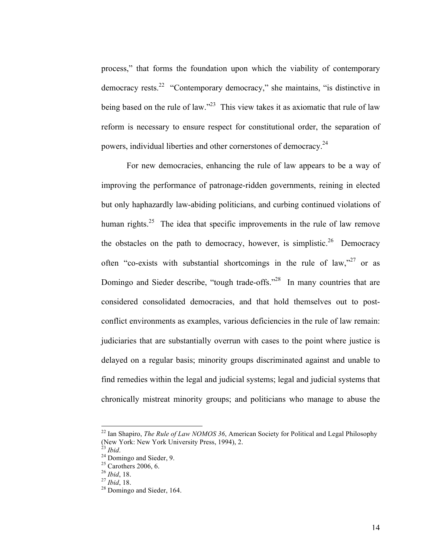process," that forms the foundation upon which the viability of contemporary democracy rests.22 "Contemporary democracy," she maintains, "is distinctive in being based on the rule of law."<sup>23</sup> This view takes it as axiomatic that rule of law reform is necessary to ensure respect for constitutional order, the separation of powers, individual liberties and other cornerstones of democracy.<sup>24</sup>

For new democracies, enhancing the rule of law appears to be a way of improving the performance of patronage-ridden governments, reining in elected but only haphazardly law-abiding politicians, and curbing continued violations of human rights.<sup>25</sup> The idea that specific improvements in the rule of law remove the obstacles on the path to democracy, however, is simplistic.<sup>26</sup> Democracy often "co-exists with substantial shortcomings in the rule of law," $27$  or as Domingo and Sieder describe, "tough trade-offs."<sup>28</sup> In many countries that are considered consolidated democracies, and that hold themselves out to postconflict environments as examples, various deficiencies in the rule of law remain: judiciaries that are substantially overrun with cases to the point where justice is delayed on a regular basis; minority groups discriminated against and unable to find remedies within the legal and judicial systems; legal and judicial systems that chronically mistreat minority groups; and politicians who manage to abuse the

<sup>&</sup>lt;sup>22</sup> Ian Shapiro, *The Rule of Law NOMOS 36*, American Society for Political and Legal Philosophy (New York: New York University Press, 1994), 2.<br><sup>23</sup> *Ibid.*<br><sup>24</sup> Domingo and Sieder, 9.<br><sup>25</sup> Carothers 2006, 6.

<sup>&</sup>lt;sup>26</sup> *Ibid*, 18. <sup>27</sup> *Ibid*, 18. <sup>28</sup> Domingo and Sieder, 164.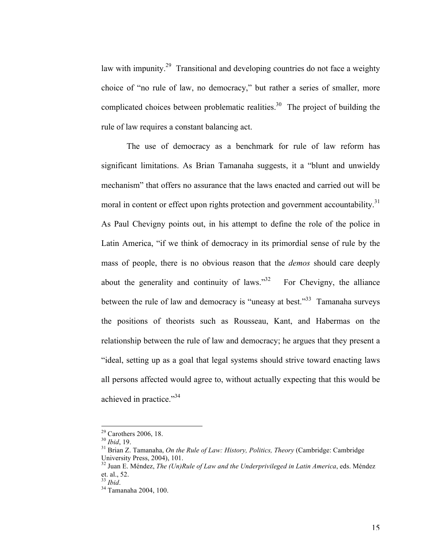law with impunity.<sup>29</sup> Transitional and developing countries do not face a weighty choice of "no rule of law, no democracy," but rather a series of smaller, more complicated choices between problematic realities.<sup>30</sup> The project of building the rule of law requires a constant balancing act.

The use of democracy as a benchmark for rule of law reform has significant limitations. As Brian Tamanaha suggests, it a "blunt and unwieldy mechanism" that offers no assurance that the laws enacted and carried out will be moral in content or effect upon rights protection and government accountability.<sup>31</sup> As Paul Chevigny points out, in his attempt to define the role of the police in Latin America, "if we think of democracy in its primordial sense of rule by the mass of people, there is no obvious reason that the *demos* should care deeply about the generality and continuity of laws. $^{32}$  For Chevigny, the alliance between the rule of law and democracy is "uneasy at best."<sup>33</sup> Tamanaha surveys the positions of theorists such as Rousseau, Kant, and Habermas on the relationship between the rule of law and democracy; he argues that they present a "ideal, setting up as a goal that legal systems should strive toward enacting laws all persons affected would agree to, without actually expecting that this would be achieved in practice."<sup>34</sup>

<sup>&</sup>lt;sup>29</sup> Carothers 2006, 18.<br><sup>30</sup> *Ibid*, 19.<br><sup>31</sup> Brian Z. Tamanaha, *On the Rule of Law: History, Politics, Theory* (Cambridge: Cambridge<br>University Press, 2004), 101.

 $^{32}$  Juan E. Méndez, *The (Un)Rule of Law and the Underprivileged in Latin America*, eds. Méndez et. al., 52.<br><sup>33</sup> *Ibid.* 

<sup>&</sup>lt;sup>34</sup> Tamanaha 2004, 100.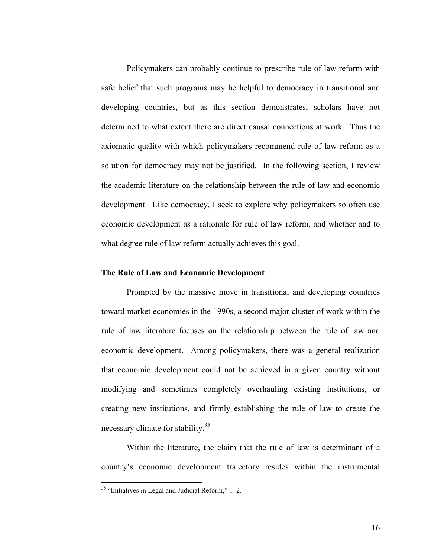Policymakers can probably continue to prescribe rule of law reform with safe belief that such programs may be helpful to democracy in transitional and developing countries, but as this section demonstrates, scholars have not determined to what extent there are direct causal connections at work. Thus the axiomatic quality with which policymakers recommend rule of law reform as a solution for democracy may not be justified. In the following section, I review the academic literature on the relationship between the rule of law and economic development. Like democracy, I seek to explore why policymakers so often use economic development as a rationale for rule of law reform, and whether and to what degree rule of law reform actually achieves this goal.

#### **The Rule of Law and Economic Development**

Prompted by the massive move in transitional and developing countries toward market economies in the 1990s, a second major cluster of work within the rule of law literature focuses on the relationship between the rule of law and economic development. Among policymakers, there was a general realization that economic development could not be achieved in a given country without modifying and sometimes completely overhauling existing institutions, or creating new institutions, and firmly establishing the rule of law to create the necessary climate for stability.<sup>35</sup>

Within the literature, the claim that the rule of law is determinant of a country's economic development trajectory resides within the instrumental

 $35$  "Initiatives in Legal and Judicial Reform," 1–2.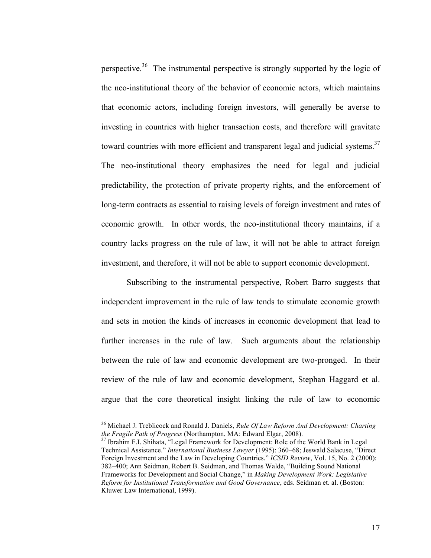perspective.<sup>36</sup> The instrumental perspective is strongly supported by the logic of the neo-institutional theory of the behavior of economic actors, which maintains that economic actors, including foreign investors, will generally be averse to investing in countries with higher transaction costs, and therefore will gravitate toward countries with more efficient and transparent legal and judicial systems.<sup>37</sup> The neo-institutional theory emphasizes the need for legal and judicial predictability, the protection of private property rights, and the enforcement of long-term contracts as essential to raising levels of foreign investment and rates of economic growth. In other words, the neo-institutional theory maintains, if a country lacks progress on the rule of law, it will not be able to attract foreign investment, and therefore, it will not be able to support economic development.

Subscribing to the instrumental perspective, Robert Barro suggests that independent improvement in the rule of law tends to stimulate economic growth and sets in motion the kinds of increases in economic development that lead to further increases in the rule of law. Such arguments about the relationship between the rule of law and economic development are two-pronged. In their review of the rule of law and economic development, Stephan Haggard et al. argue that the core theoretical insight linking the rule of law to economic

<sup>&</sup>lt;sup>36</sup> Michael J. Treblicock and Ronald J. Daniels, *Rule Of Law Reform And Development: Charting the Fragile Path of Progress* (Northampton, MA: Edward Elgar, 2008).<br><sup>37</sup> Ibrahim F.I. Shihata, "Legal Framework for Development: Role of the World Bank in Legal

Technical Assistance." *International Business Lawyer* (1995): 360–68; Jeswald Salacuse, "Direct Foreign Investment and the Law in Developing Countries." *ICSID Review*, Vol. 15, No. 2 (2000): 382–400; Ann Seidman, Robert B. Seidman, and Thomas Walde, "Building Sound National Frameworks for Development and Social Change," in *Making Development Work: Legislative Reform for Institutional Transformation and Good Governance*, eds. Seidman et. al. (Boston: Kluwer Law International, 1999).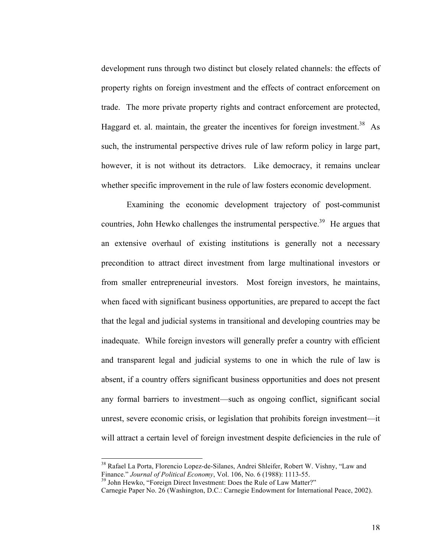development runs through two distinct but closely related channels: the effects of property rights on foreign investment and the effects of contract enforcement on trade. The more private property rights and contract enforcement are protected, Haggard et. al. maintain, the greater the incentives for foreign investment.<sup>38</sup> As such, the instrumental perspective drives rule of law reform policy in large part, however, it is not without its detractors. Like democracy, it remains unclear whether specific improvement in the rule of law fosters economic development.

Examining the economic development trajectory of post-communist countries, John Hewko challenges the instrumental perspective.<sup>39</sup> He argues that an extensive overhaul of existing institutions is generally not a necessary precondition to attract direct investment from large multinational investors or from smaller entrepreneurial investors. Most foreign investors, he maintains, when faced with significant business opportunities, are prepared to accept the fact that the legal and judicial systems in transitional and developing countries may be inadequate. While foreign investors will generally prefer a country with efficient and transparent legal and judicial systems to one in which the rule of law is absent, if a country offers significant business opportunities and does not present any formal barriers to investment––such as ongoing conflict, significant social unrest, severe economic crisis, or legislation that prohibits foreign investment––it will attract a certain level of foreign investment despite deficiencies in the rule of

<sup>&</sup>lt;sup>38</sup> Rafael La Porta, Florencio Lopez-de-Silanes, Andrei Shleifer, Robert W. Vishny, "Law and Finance." *Journal of Political Economy*. Vol. 106. No. 6 (1988): 1113-55.

<sup>&</sup>lt;sup>39</sup> John Hewko, "Foreign Direct Investment: Does the Rule of Law Matter?"

Carnegie Paper No. 26 (Washington, D.C.: Carnegie Endowment for International Peace, 2002).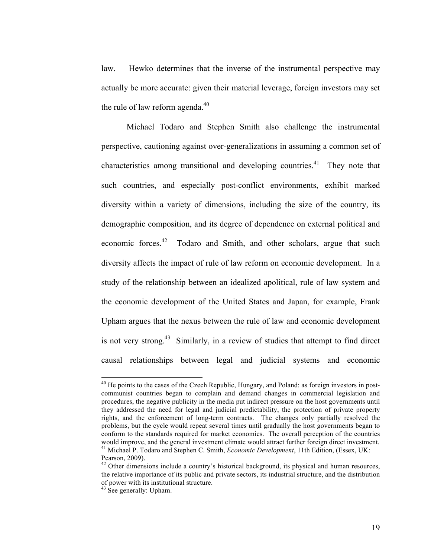law. Hewko determines that the inverse of the instrumental perspective may actually be more accurate: given their material leverage, foreign investors may set the rule of law reform agenda. $40$ 

Michael Todaro and Stephen Smith also challenge the instrumental perspective, cautioning against over-generalizations in assuming a common set of characteristics among transitional and developing countries.<sup>41</sup> They note that such countries, and especially post-conflict environments, exhibit marked diversity within a variety of dimensions, including the size of the country, its demographic composition, and its degree of dependence on external political and economic forces.<sup>42</sup> Todaro and Smith, and other scholars, argue that such diversity affects the impact of rule of law reform on economic development. In a study of the relationship between an idealized apolitical, rule of law system and the economic development of the United States and Japan, for example, Frank Upham argues that the nexus between the rule of law and economic development is not very strong.<sup>43</sup> Similarly, in a review of studies that attempt to find direct causal relationships between legal and judicial systems and economic

<sup>&</sup>lt;sup>40</sup> He points to the cases of the Czech Republic, Hungary, and Poland: as foreign investors in postcommunist countries began to complain and demand changes in commercial legislation and procedures, the negative publicity in the media put indirect pressure on the host governments until they addressed the need for legal and judicial predictability, the protection of private property rights, and the enforcement of long-term contracts. The changes only partially resolved the problems, but the cycle would repeat several times until gradually the host governments began to conform to the standards required for market economies. The overall perception of the countries would improve, and the general investment climate would attract further foreign direct investment. 41 Michael P. Todaro and Stephen C. Smith, *Economic Development*, 11th Edition, (Essex, UK: Pearson, 2009).

<sup>&</sup>lt;sup>42</sup> Other dimensions include a country's historical background, its physical and human resources, the relative importance of its public and private sectors, its industrial structure, and the distribution of power with its institutional structure. 43 See generally: Upham.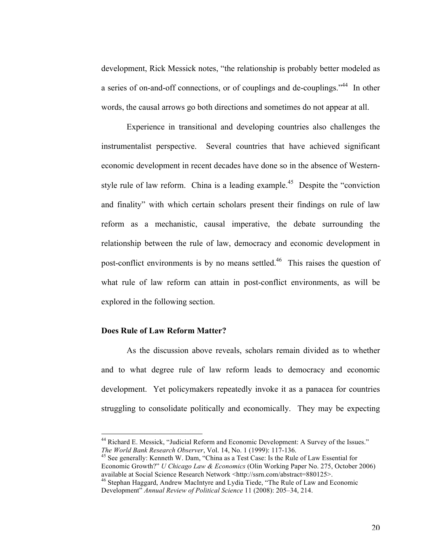development, Rick Messick notes, "the relationship is probably better modeled as a series of on-and-off connections, or of couplings and de-couplings."<sup>44</sup> In other words, the causal arrows go both directions and sometimes do not appear at all.

Experience in transitional and developing countries also challenges the instrumentalist perspective. Several countries that have achieved significant economic development in recent decades have done so in the absence of Westernstyle rule of law reform. China is a leading example.<sup>45</sup> Despite the "conviction" and finality" with which certain scholars present their findings on rule of law reform as a mechanistic, causal imperative, the debate surrounding the relationship between the rule of law, democracy and economic development in post-conflict environments is by no means settled.<sup>46</sup> This raises the question of what rule of law reform can attain in post-conflict environments, as will be explored in the following section.

#### **Does Rule of Law Reform Matter?**

As the discussion above reveals, scholars remain divided as to whether and to what degree rule of law reform leads to democracy and economic development. Yet policymakers repeatedly invoke it as a panacea for countries struggling to consolidate politically and economically. They may be expecting

Economic Growth?" *U Chicago Law & Economics* (Olin Working Paper No. 275, October 2006) available at Social Science Research Network <http://ssrn.com/abstract=880125>.<br><sup>46</sup> Stephan Haggard, Andrew MacIntyre and Lydia Tiede, "The Rule of Law and Economic

<sup>&</sup>lt;sup>44</sup> Richard E. Messick, "Judicial Reform and Economic Development: A Survey of the Issues." *The World Bank Research Observer*, Vol. 14, No. 1 (1999): 117-136.<br><sup>45</sup> See generally: Kenneth W. Dam, "China as a Test Case: Is the Rule of Law Essential for

Development" *Annual Review of Political Science* 11 (2008): 205–34, 214.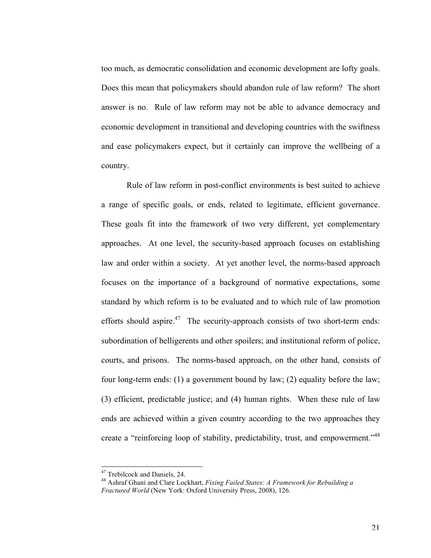too much, as democratic consolidation and economic development are lofty goals. Does this mean that policymakers should abandon rule of law reform? The short answer is no. Rule of law reform may not be able to advance democracy and economic development in transitional and developing countries with the swiftness and ease policymakers expect, but it certainly can improve the wellbeing of a country.

Rule of law reform in post-conflict environments is best suited to achieve a range of specific goals, or ends, related to legitimate, efficient governance. These goals fit into the framework of two very different, yet complementary approaches. At one level, the security-based approach focuses on establishing law and order within a society. At yet another level, the norms-based approach focuses on the importance of a background of normative expectations, some standard by which reform is to be evaluated and to which rule of law promotion efforts should aspire.<sup>47</sup> The security-approach consists of two short-term ends: subordination of belligerents and other spoilers; and institutional reform of police, courts, and prisons. The norms-based approach, on the other hand, consists of four long-term ends: (1) a government bound by law; (2) equality before the law; (3) efficient, predictable justice; and (4) human rights. When these rule of law ends are achieved within a given country according to the two approaches they create a "reinforcing loop of stability, predictability, trust, and empowerment."<sup>48</sup>

<sup>&</sup>lt;sup>47</sup> Trebilcock and Daniels, 24.

<sup>48</sup> Ashraf Ghani and Clare Lockhart, *Fixing Failed States: A Framework for Rebuilding a Fractured World* (New York: Oxford University Press, 2008), 126.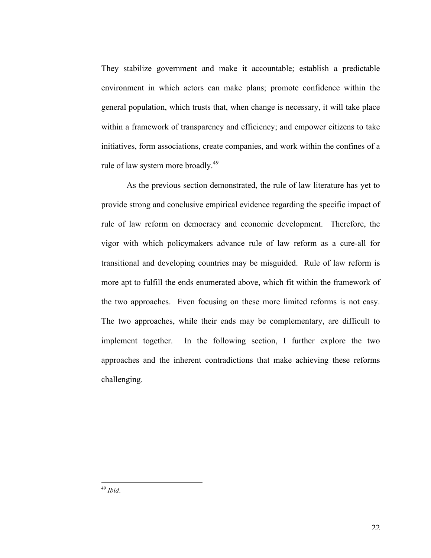They stabilize government and make it accountable; establish a predictable environment in which actors can make plans; promote confidence within the general population, which trusts that, when change is necessary, it will take place within a framework of transparency and efficiency; and empower citizens to take initiatives, form associations, create companies, and work within the confines of a rule of law system more broadly.<sup>49</sup>

As the previous section demonstrated, the rule of law literature has yet to provide strong and conclusive empirical evidence regarding the specific impact of rule of law reform on democracy and economic development. Therefore, the vigor with which policymakers advance rule of law reform as a cure-all for transitional and developing countries may be misguided. Rule of law reform is more apt to fulfill the ends enumerated above, which fit within the framework of the two approaches. Even focusing on these more limited reforms is not easy. The two approaches, while their ends may be complementary, are difficult to implement together. In the following section, I further explore the two approaches and the inherent contradictions that make achieving these reforms challenging.

<sup>49</sup> *Ibid.*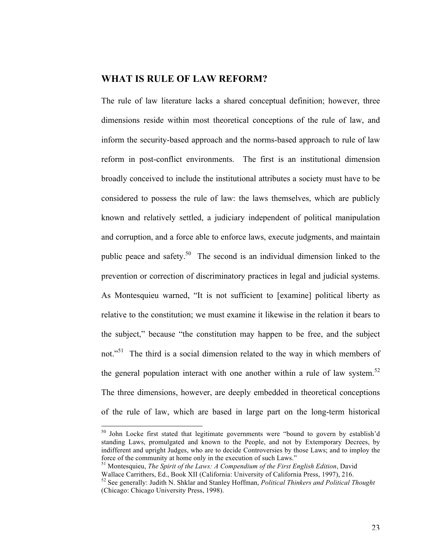### **WHAT IS RULE OF LAW REFORM?**

The rule of law literature lacks a shared conceptual definition; however, three dimensions reside within most theoretical conceptions of the rule of law, and inform the security-based approach and the norms-based approach to rule of law reform in post-conflict environments. The first is an institutional dimension broadly conceived to include the institutional attributes a society must have to be considered to possess the rule of law: the laws themselves, which are publicly known and relatively settled, a judiciary independent of political manipulation and corruption, and a force able to enforce laws, execute judgments, and maintain public peace and safety.50 The second is an individual dimension linked to the prevention or correction of discriminatory practices in legal and judicial systems. As Montesquieu warned, "It is not sufficient to [examine] political liberty as relative to the constitution; we must examine it likewise in the relation it bears to the subject," because "the constitution may happen to be free, and the subject not."<sup>51</sup> The third is a social dimension related to the way in which members of the general population interact with one another within a rule of law system.<sup>52</sup> The three dimensions, however, are deeply embedded in theoretical conceptions of the rule of law, which are based in large part on the long-term historical

<sup>50</sup> John Locke first stated that legitimate governments were "bound to govern by establish'd standing Laws, promulgated and known to the People, and not by Extemporary Decrees, by indifferent and upright Judges, who are to decide Controversies by those Laws; and to imploy the force of the community at home only in the execution of such Laws."

51 Montesquieu, *The Spirit of the Laws: A Compendium of the First English Edition*, David Wallace Carrithers, Ed., Book XII (California: University of California Press, 1997), 216.

<sup>52</sup> See generally: Judith N. Shklar and Stanley Hoffman, *Political Thinkers and Political Thought*  (Chicago: Chicago University Press, 1998).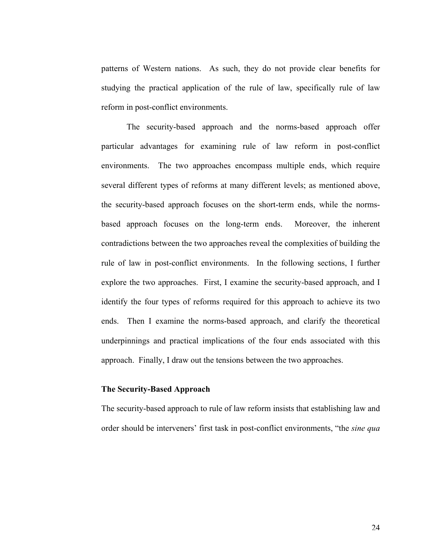patterns of Western nations. As such, they do not provide clear benefits for studying the practical application of the rule of law, specifically rule of law reform in post-conflict environments.

The security-based approach and the norms-based approach offer particular advantages for examining rule of law reform in post-conflict environments. The two approaches encompass multiple ends, which require several different types of reforms at many different levels; as mentioned above, the security-based approach focuses on the short-term ends, while the normsbased approach focuses on the long-term ends. Moreover, the inherent contradictions between the two approaches reveal the complexities of building the rule of law in post-conflict environments. In the following sections, I further explore the two approaches. First, I examine the security-based approach, and I identify the four types of reforms required for this approach to achieve its two ends. Then I examine the norms-based approach, and clarify the theoretical underpinnings and practical implications of the four ends associated with this approach. Finally, I draw out the tensions between the two approaches.

#### **The Security-Based Approach**

The security-based approach to rule of law reform insists that establishing law and order should be interveners' first task in post-conflict environments, "the *sine qua*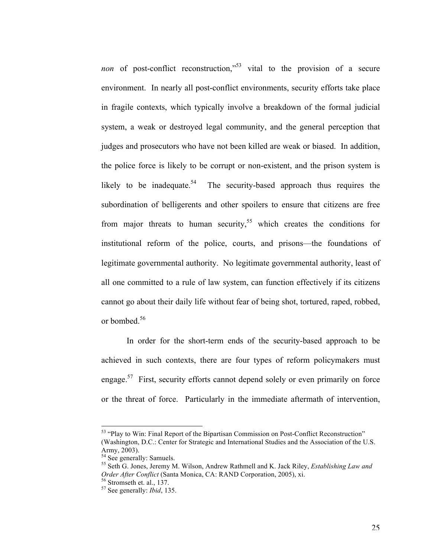non of post-conflict reconstruction,"<sup>53</sup> vital to the provision of a secure environment. In nearly all post-conflict environments, security efforts take place in fragile contexts, which typically involve a breakdown of the formal judicial system, a weak or destroyed legal community, and the general perception that judges and prosecutors who have not been killed are weak or biased. In addition, the police force is likely to be corrupt or non-existent, and the prison system is likely to be inadequate.<sup>54</sup> The security-based approach thus requires the subordination of belligerents and other spoilers to ensure that citizens are free from major threats to human security,<sup>55</sup> which creates the conditions for institutional reform of the police, courts, and prisons––the foundations of legitimate governmental authority. No legitimate governmental authority, least of all one committed to a rule of law system, can function effectively if its citizens cannot go about their daily life without fear of being shot, tortured, raped, robbed, or bombed.<sup>56</sup>

In order for the short-term ends of the security-based approach to be achieved in such contexts, there are four types of reform policymakers must engage.<sup>57</sup> First, security efforts cannot depend solely or even primarily on force or the threat of force. Particularly in the immediate aftermath of intervention,

 $<sup>53</sup>$  "Play to Win: Final Report of the Bipartisan Commission on Post-Conflict Reconstruction"</sup> (Washington, D.C.: Center for Strategic and International Studies and the Association of the U.S. Army, 2003).

 $54$  See generally: Samuels.

<sup>55</sup> Seth G. Jones, Jeremy M. Wilson, Andrew Rathmell and K. Jack Riley, *Establishing Law and Order After Conflict* (Santa Monica, CA: RAND Corporation, 2005), xi. <sup>56</sup> Stromseth et. al., 137.

<sup>57</sup> See generally: *Ibid*, 135.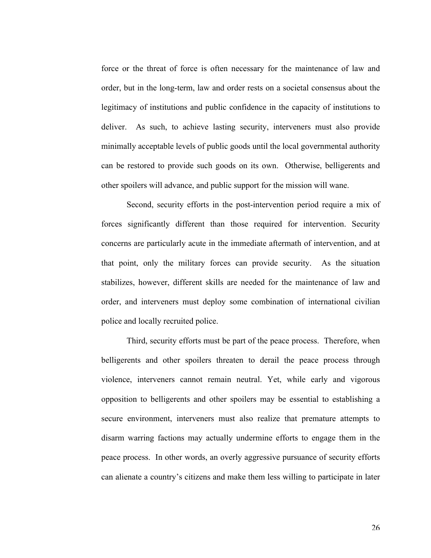force or the threat of force is often necessary for the maintenance of law and order, but in the long-term, law and order rests on a societal consensus about the legitimacy of institutions and public confidence in the capacity of institutions to deliver. As such, to achieve lasting security, interveners must also provide minimally acceptable levels of public goods until the local governmental authority can be restored to provide such goods on its own. Otherwise, belligerents and other spoilers will advance, and public support for the mission will wane.

Second, security efforts in the post-intervention period require a mix of forces significantly different than those required for intervention. Security concerns are particularly acute in the immediate aftermath of intervention, and at that point, only the military forces can provide security. As the situation stabilizes, however, different skills are needed for the maintenance of law and order, and interveners must deploy some combination of international civilian police and locally recruited police.

Third, security efforts must be part of the peace process. Therefore, when belligerents and other spoilers threaten to derail the peace process through violence, interveners cannot remain neutral. Yet, while early and vigorous opposition to belligerents and other spoilers may be essential to establishing a secure environment, interveners must also realize that premature attempts to disarm warring factions may actually undermine efforts to engage them in the peace process. In other words, an overly aggressive pursuance of security efforts can alienate a country's citizens and make them less willing to participate in later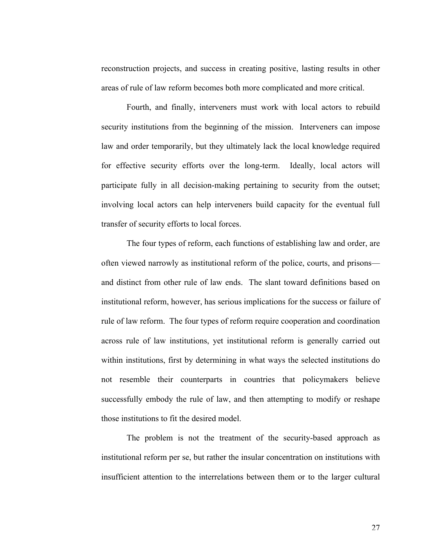reconstruction projects, and success in creating positive, lasting results in other areas of rule of law reform becomes both more complicated and more critical.

Fourth, and finally, interveners must work with local actors to rebuild security institutions from the beginning of the mission. Interveners can impose law and order temporarily, but they ultimately lack the local knowledge required for effective security efforts over the long-term. Ideally, local actors will participate fully in all decision-making pertaining to security from the outset; involving local actors can help interveners build capacity for the eventual full transfer of security efforts to local forces.

The four types of reform, each functions of establishing law and order, are often viewed narrowly as institutional reform of the police, courts, and prisons–– and distinct from other rule of law ends. The slant toward definitions based on institutional reform, however, has serious implications for the success or failure of rule of law reform. The four types of reform require cooperation and coordination across rule of law institutions, yet institutional reform is generally carried out within institutions, first by determining in what ways the selected institutions do not resemble their counterparts in countries that policymakers believe successfully embody the rule of law, and then attempting to modify or reshape those institutions to fit the desired model.

The problem is not the treatment of the security-based approach as institutional reform per se, but rather the insular concentration on institutions with insufficient attention to the interrelations between them or to the larger cultural

27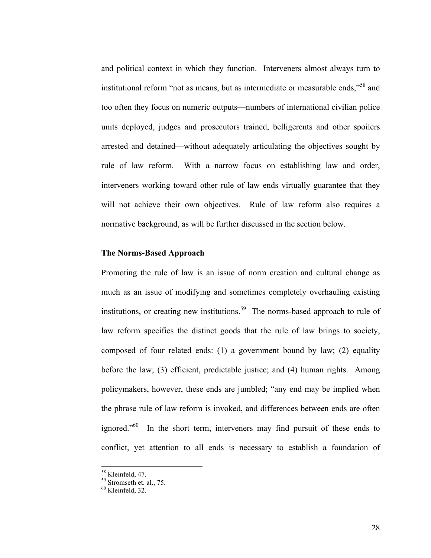and political context in which they function. Interveners almost always turn to institutional reform "not as means, but as intermediate or measurable ends,"58 and too often they focus on numeric outputs––numbers of international civilian police units deployed, judges and prosecutors trained, belligerents and other spoilers arrested and detained––without adequately articulating the objectives sought by rule of law reform. With a narrow focus on establishing law and order, interveners working toward other rule of law ends virtually guarantee that they will not achieve their own objectives. Rule of law reform also requires a normative background, as will be further discussed in the section below.

#### **The Norms-Based Approach**

Promoting the rule of law is an issue of norm creation and cultural change as much as an issue of modifying and sometimes completely overhauling existing institutions, or creating new institutions. 59 The norms-based approach to rule of law reform specifies the distinct goods that the rule of law brings to society, composed of four related ends: (1) a government bound by law; (2) equality before the law; (3) efficient, predictable justice; and (4) human rights. Among policymakers, however, these ends are jumbled; "any end may be implied when the phrase rule of law reform is invoked, and differences between ends are often ignored."<sup>60</sup> In the short term, interveners may find pursuit of these ends to conflict, yet attention to all ends is necessary to establish a foundation of

 $<sup>58</sup>$  Kleinfeld, 47.<br> $<sup>59</sup>$  Stromseth et. al., 75.</sup></sup>

 $60$  Kleinfeld, 32.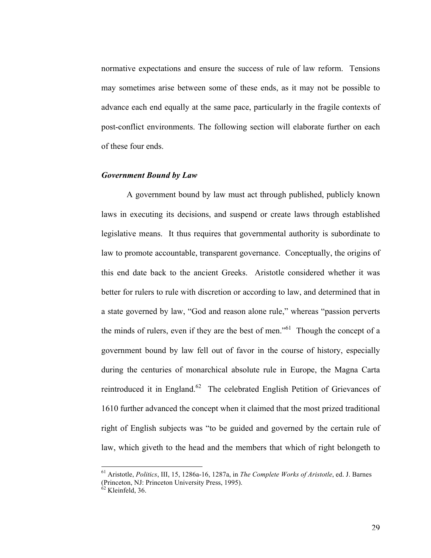normative expectations and ensure the success of rule of law reform. Tensions may sometimes arise between some of these ends, as it may not be possible to advance each end equally at the same pace, particularly in the fragile contexts of post-conflict environments. The following section will elaborate further on each of these four ends.

#### *Government Bound by Law*

A government bound by law must act through published, publicly known laws in executing its decisions, and suspend or create laws through established legislative means. It thus requires that governmental authority is subordinate to law to promote accountable, transparent governance. Conceptually, the origins of this end date back to the ancient Greeks. Aristotle considered whether it was better for rulers to rule with discretion or according to law, and determined that in a state governed by law, "God and reason alone rule," whereas "passion perverts the minds of rulers, even if they are the best of men."<sup>61</sup> Though the concept of a government bound by law fell out of favor in the course of history, especially during the centuries of monarchical absolute rule in Europe, the Magna Carta reintroduced it in England.<sup>62</sup> The celebrated English Petition of Grievances of 1610 further advanced the concept when it claimed that the most prized traditional right of English subjects was "to be guided and governed by the certain rule of law, which giveth to the head and the members that which of right belongeth to

<sup>&</sup>lt;sup>61</sup> Aristotle, *Politics*, III, 15, 1286a-16, 1287a, in *The Complete Works of Aristotle*, ed. J. Barnes (Princeton, NJ: Princeton University Press, 1995).

 $62$  Kleinfeld, 36.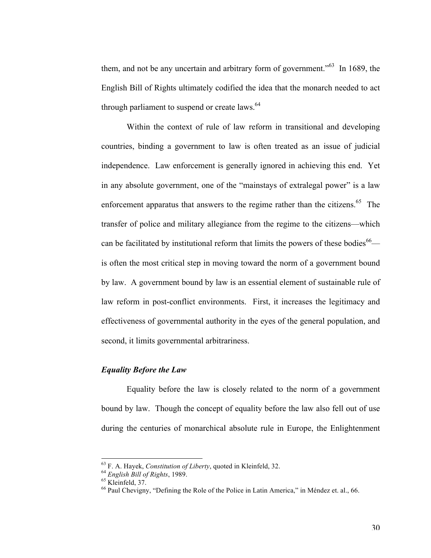them, and not be any uncertain and arbitrary form of government.<sup> $563$ </sup> In 1689, the English Bill of Rights ultimately codified the idea that the monarch needed to act through parliament to suspend or create laws. $64$ 

Within the context of rule of law reform in transitional and developing countries, binding a government to law is often treated as an issue of judicial independence. Law enforcement is generally ignored in achieving this end. Yet in any absolute government, one of the "mainstays of extralegal power" is a law enforcement apparatus that answers to the regime rather than the citizens.<sup>65</sup> The transfer of police and military allegiance from the regime to the citizens––which can be facilitated by institutional reform that limits the powers of these bodies<sup>66</sup> is often the most critical step in moving toward the norm of a government bound by law. A government bound by law is an essential element of sustainable rule of law reform in post-conflict environments. First, it increases the legitimacy and effectiveness of governmental authority in the eyes of the general population, and second, it limits governmental arbitrariness.

#### *Equality Before the Law*

Equality before the law is closely related to the norm of a government bound by law. Though the concept of equality before the law also fell out of use during the centuries of monarchical absolute rule in Europe, the Enlightenment

<sup>&</sup>lt;sup>63</sup> F. A. Hayek, *Constitution of Liberty*, quoted in Kleinfeld, 32.<br><sup>64</sup> English Bill of Rights, 1989.<br><sup>65</sup> Kleinfeld, 37.<br><sup>66</sup> Paul Chevigny, "Defining the Role of the Police in Latin America," in Méndez et. al., 66.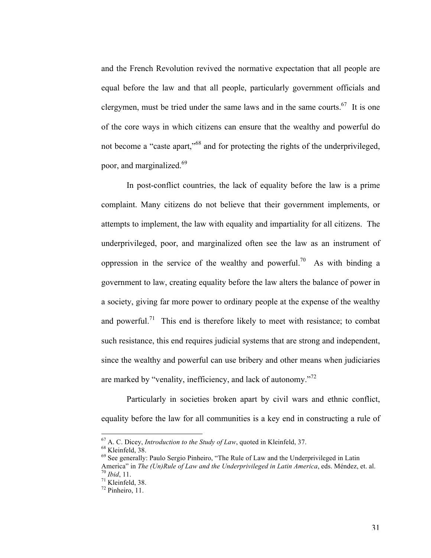and the French Revolution revived the normative expectation that all people are equal before the law and that all people, particularly government officials and clergymen, must be tried under the same laws and in the same courts.<sup>67</sup> It is one of the core ways in which citizens can ensure that the wealthy and powerful do not become a "caste apart,"<sup>68</sup> and for protecting the rights of the underprivileged, poor, and marginalized. 69

In post-conflict countries, the lack of equality before the law is a prime complaint. Many citizens do not believe that their government implements, or attempts to implement, the law with equality and impartiality for all citizens. The underprivileged, poor, and marginalized often see the law as an instrument of oppression in the service of the wealthy and powerful.<sup>70</sup> As with binding a government to law, creating equality before the law alters the balance of power in a society, giving far more power to ordinary people at the expense of the wealthy and powerful.<sup>71</sup> This end is therefore likely to meet with resistance; to combat such resistance, this end requires judicial systems that are strong and independent, since the wealthy and powerful can use bribery and other means when judiciaries are marked by "venality, inefficiency, and lack of autonomy."<sup>72</sup>

Particularly in societies broken apart by civil wars and ethnic conflict, equality before the law for all communities is a key end in constructing a rule of

<sup>&</sup>lt;sup>67</sup> A. C. Dicey, *Introduction to the Study of Law*, quoted in Kleinfeld, 37.<br><sup>68</sup> Kleinfeld, 38.<br><sup>69</sup> See generally: Paulo Sergio Pinheiro, "The Rule of Law and the Underprivileged in Latin America" in *The (Un)Rule of Law and the Underprivileged in Latin America*, eds. Méndez, et. al.<br><sup>70</sup> *Ibid*, 11.<br><sup>71</sup> Kleinfeld, 38. <sup>72</sup> Pinheiro, 11.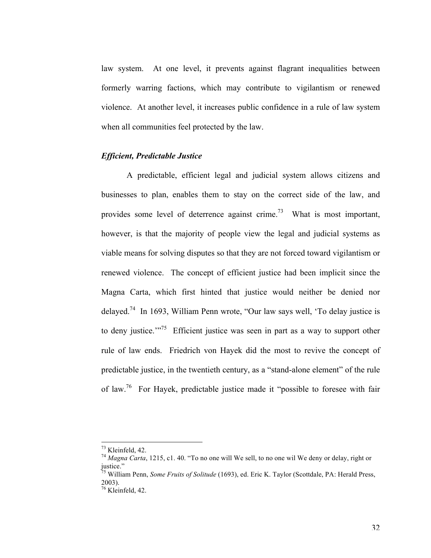law system. At one level, it prevents against flagrant inequalities between formerly warring factions, which may contribute to vigilantism or renewed violence. At another level, it increases public confidence in a rule of law system when all communities feel protected by the law.

#### *Efficient, Predictable Justice*

A predictable, efficient legal and judicial system allows citizens and businesses to plan, enables them to stay on the correct side of the law, and provides some level of deterrence against crime.<sup>73</sup> What is most important, however, is that the majority of people view the legal and judicial systems as viable means for solving disputes so that they are not forced toward vigilantism or renewed violence. The concept of efficient justice had been implicit since the Magna Carta, which first hinted that justice would neither be denied nor delayed.<sup>74</sup> In 1693, William Penn wrote, "Our law says well, 'To delay justice is to deny justice."<sup> $75$ </sup> Efficient justice was seen in part as a way to support other rule of law ends. Friedrich von Hayek did the most to revive the concept of predictable justice, in the twentieth century, as a "stand-alone element" of the rule of law.76 For Hayek, predictable justice made it "possible to foresee with fair

<sup>&</sup>lt;sup>73</sup> Kleinfeld, 42.<br><sup>74</sup> *Magna Carta*, 1215, c1. 40. "To no one will We sell, to no one wil We deny or delay, right or justice."

<sup>75</sup> William Penn, *Some Fruits of Solitude* (1693), ed. Eric K. Taylor (Scottdale, PA: Herald Press, 2003).

 $76$  Kleinfeld, 42.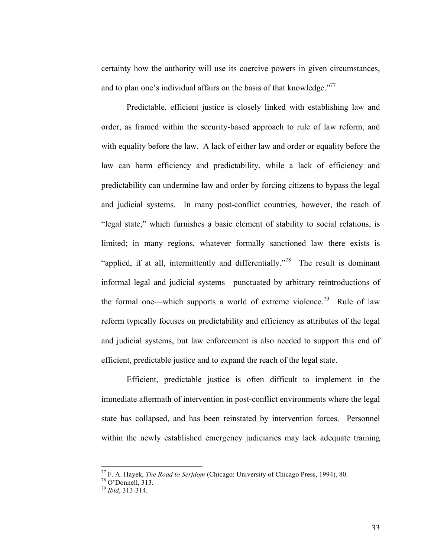certainty how the authority will use its coercive powers in given circumstances, and to plan one's individual affairs on the basis of that knowledge."<sup>77</sup>

Predictable, efficient justice is closely linked with establishing law and order, as framed within the security-based approach to rule of law reform, and with equality before the law. A lack of either law and order or equality before the law can harm efficiency and predictability, while a lack of efficiency and predictability can undermine law and order by forcing citizens to bypass the legal and judicial systems. In many post-conflict countries, however, the reach of "legal state," which furnishes a basic element of stability to social relations, is limited; in many regions, whatever formally sanctioned law there exists is "applied, if at all, intermittently and differentially."<sup>78</sup> The result is dominant informal legal and judicial systems––punctuated by arbitrary reintroductions of the formal one—which supports a world of extreme violence.<sup>79</sup> Rule of law reform typically focuses on predictability and efficiency as attributes of the legal and judicial systems, but law enforcement is also needed to support this end of efficient, predictable justice and to expand the reach of the legal state.

Efficient, predictable justice is often difficult to implement in the immediate aftermath of intervention in post-conflict environments where the legal state has collapsed, and has been reinstated by intervention forces. Personnel within the newly established emergency judiciaries may lack adequate training

<sup>&</sup>lt;sup>77</sup> F. A. Hayek, *The Road to Serfdom* (Chicago: University of Chicago Press, 1994), 80. <sup>78</sup> O'Donnell, 313.

<sup>79</sup> *Ibid*, 313-314.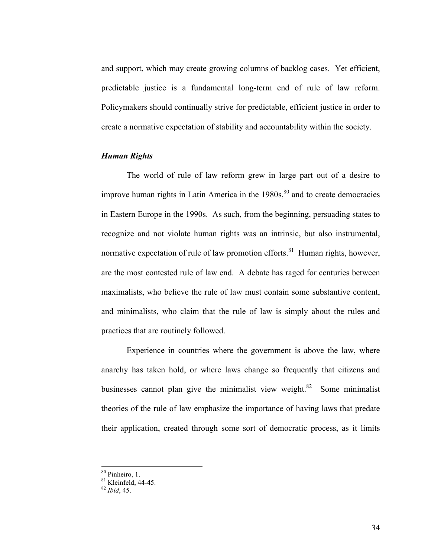and support, which may create growing columns of backlog cases. Yet efficient, predictable justice is a fundamental long-term end of rule of law reform. Policymakers should continually strive for predictable, efficient justice in order to create a normative expectation of stability and accountability within the society.

### *Human Rights*

The world of rule of law reform grew in large part out of a desire to improve human rights in Latin America in the  $1980s$ ,  $80^{\circ}$  and to create democracies in Eastern Europe in the 1990s. As such, from the beginning, persuading states to recognize and not violate human rights was an intrinsic, but also instrumental, normative expectation of rule of law promotion efforts.<sup>81</sup> Human rights, however, are the most contested rule of law end. A debate has raged for centuries between maximalists, who believe the rule of law must contain some substantive content, and minimalists, who claim that the rule of law is simply about the rules and practices that are routinely followed.

Experience in countries where the government is above the law, where anarchy has taken hold, or where laws change so frequently that citizens and businesses cannot plan give the minimalist view weight. $82$  Some minimalist theories of the rule of law emphasize the importance of having laws that predate their application, created through some sort of democratic process, as it limits

 $80$  Pinheiro, 1.

<sup>81</sup> Kleinfeld, 44-45. <sup>82</sup> *Ibid*, 45.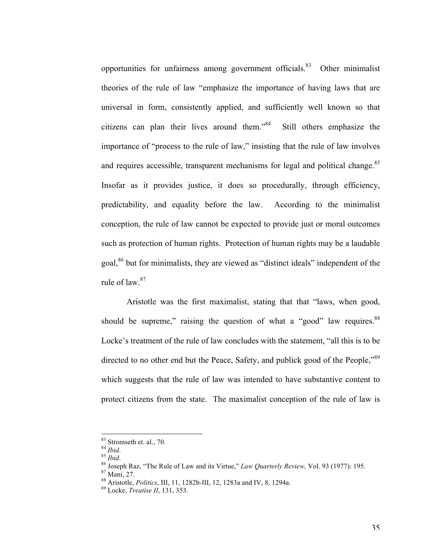opportunities for unfairness among government officials.<sup>83</sup> Other minimalist theories of the rule of law "emphasize the importance of having laws that are universal in form, consistently applied, and sufficiently well known so that citizens can plan their lives around them."84 Still others emphasize the importance of "process to the rule of law," insisting that the rule of law involves and requires accessible, transparent mechanisms for legal and political change.<sup>85</sup> Insofar as it provides justice, it does so procedurally, through efficiency, predictability, and equality before the law. According to the minimalist conception, the rule of law cannot be expected to provide just or moral outcomes such as protection of human rights. Protection of human rights may be a laudable goal,86 but for minimalists, they are viewed as "distinct ideals" independent of the rule of law.<sup>87</sup>

Aristotle was the first maximalist, stating that that "laws, when good, should be supreme," raising the question of what a "good" law requires. $88$ Locke's treatment of the rule of law concludes with the statement, "all this is to be directed to no other end but the Peace, Safety, and publick good of the People,<sup>889</sup> which suggests that the rule of law was intended to have substantive content to protect citizens from the state. The maximalist conception of the rule of law is

 $\frac{83}{84}$  Stromseth et. al., 70.<br> $\frac{84}{1}$ *lbid.* 

<sup>85</sup> *Ibid.* 86 *Ibid.* 86 *Ibid.* 86 *Ibid.* 86 *Ibid.* 86 Joseph Raz, "The Rule of Law and its Virtue," *Law Quarterly Review,* Vol. 93 (1977): 195. 87 Mani. 27.

<sup>88</sup> Aristotle, *Politics*, III, 11, 1282b-III, 12, 1283a and IV, 8, 1294a. <sup>89</sup> Locke, *Treatise II*, 131, 353.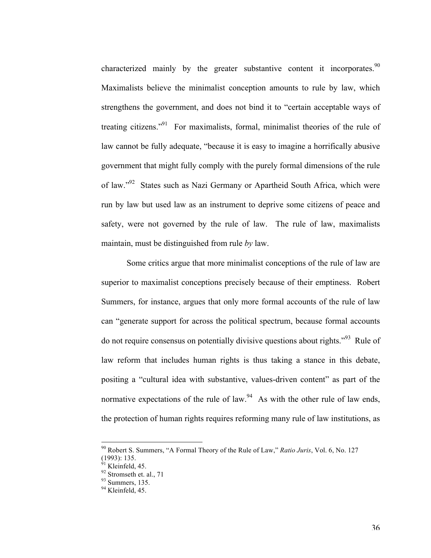characterized mainly by the greater substantive content it incorporates.<sup>90</sup> Maximalists believe the minimalist conception amounts to rule by law, which strengthens the government, and does not bind it to "certain acceptable ways of treating citizens."91 For maximalists, formal, minimalist theories of the rule of law cannot be fully adequate, "because it is easy to imagine a horrifically abusive government that might fully comply with the purely formal dimensions of the rule of law."92 States such as Nazi Germany or Apartheid South Africa, which were run by law but used law as an instrument to deprive some citizens of peace and safety, were not governed by the rule of law. The rule of law, maximalists maintain, must be distinguished from rule *by* law.

Some critics argue that more minimalist conceptions of the rule of law are superior to maximalist conceptions precisely because of their emptiness. Robert Summers, for instance, argues that only more formal accounts of the rule of law can "generate support for across the political spectrum, because formal accounts do not require consensus on potentially divisive questions about rights.<sup>393</sup> Rule of law reform that includes human rights is thus taking a stance in this debate, positing a "cultural idea with substantive, values-driven content" as part of the normative expectations of the rule of law.<sup>94</sup> As with the other rule of law ends, the protection of human rights requires reforming many rule of law institutions, as

<sup>&</sup>lt;sup>90</sup> Robert S. Summers, "A Formal Theory of the Rule of Law," *Ratio Juris*, Vol. 6, No. 127  $(1993)$ : 135.<br><sup>91</sup> Kleinfeld, 45.

 $92$  Stromseth et. al., 71

<sup>93</sup> Summers, 135.

 $94$  Kleinfeld, 45.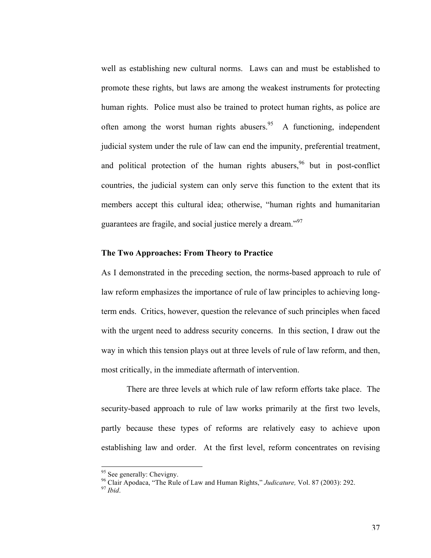well as establishing new cultural norms. Laws can and must be established to promote these rights, but laws are among the weakest instruments for protecting human rights. Police must also be trained to protect human rights, as police are often among the worst human rights abusers.<sup>95</sup> A functioning, independent judicial system under the rule of law can end the impunity, preferential treatment, and political protection of the human rights abusers,  $96$  but in post-conflict countries, the judicial system can only serve this function to the extent that its members accept this cultural idea; otherwise, "human rights and humanitarian guarantees are fragile, and social justice merely a dream."<sup>97</sup>

#### **The Two Approaches: From Theory to Practice**

As I demonstrated in the preceding section, the norms-based approach to rule of law reform emphasizes the importance of rule of law principles to achieving longterm ends. Critics, however, question the relevance of such principles when faced with the urgent need to address security concerns. In this section, I draw out the way in which this tension plays out at three levels of rule of law reform, and then, most critically, in the immediate aftermath of intervention.

There are three levels at which rule of law reform efforts take place. The security-based approach to rule of law works primarily at the first two levels, partly because these types of reforms are relatively easy to achieve upon establishing law and order. At the first level, reform concentrates on revising

<sup>&</sup>lt;sup>95</sup> See generally: Chevigny.

<sup>&</sup>lt;sup>96</sup> Clair Apodaca, "The Rule of Law and Human Rights," *Judicature*, Vol. 87 (2003): 292.<br><sup>97</sup> *Ibid*.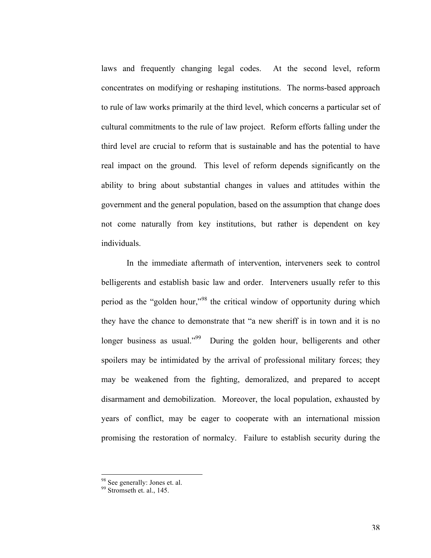laws and frequently changing legal codes. At the second level, reform concentrates on modifying or reshaping institutions. The norms-based approach to rule of law works primarily at the third level, which concerns a particular set of cultural commitments to the rule of law project. Reform efforts falling under the third level are crucial to reform that is sustainable and has the potential to have real impact on the ground. This level of reform depends significantly on the ability to bring about substantial changes in values and attitudes within the government and the general population, based on the assumption that change does not come naturally from key institutions, but rather is dependent on key individuals.

In the immediate aftermath of intervention, interveners seek to control belligerents and establish basic law and order. Interveners usually refer to this period as the "golden hour,"98 the critical window of opportunity during which they have the chance to demonstrate that "a new sheriff is in town and it is no longer business as usual."<sup>99</sup> During the golden hour, belligerents and other spoilers may be intimidated by the arrival of professional military forces; they may be weakened from the fighting, demoralized, and prepared to accept disarmament and demobilization. Moreover, the local population, exhausted by years of conflict, may be eager to cooperate with an international mission promising the restoration of normalcy. Failure to establish security during the

<sup>&</sup>lt;sup>98</sup> See generally: Jones et. al.

 $99$  Stromseth et. al., 145.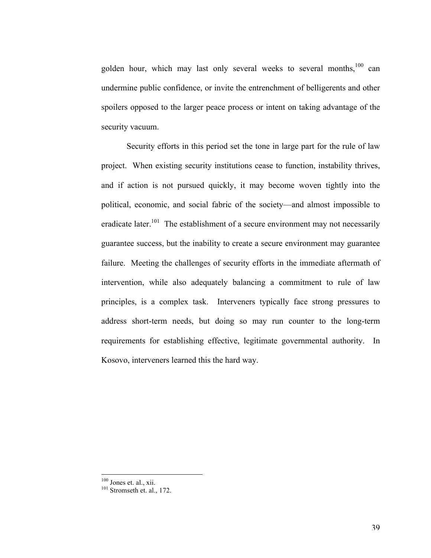golden hour, which may last only several weeks to several months, $100 \text{ can}$ undermine public confidence, or invite the entrenchment of belligerents and other spoilers opposed to the larger peace process or intent on taking advantage of the security vacuum.

Security efforts in this period set the tone in large part for the rule of law project. When existing security institutions cease to function, instability thrives, and if action is not pursued quickly, it may become woven tightly into the political, economic, and social fabric of the society––and almost impossible to eradicate later.<sup>101</sup> The establishment of a secure environment may not necessarily guarantee success, but the inability to create a secure environment may guarantee failure. Meeting the challenges of security efforts in the immediate aftermath of intervention, while also adequately balancing a commitment to rule of law principles, is a complex task. Interveners typically face strong pressures to address short-term needs, but doing so may run counter to the long-term requirements for establishing effective, legitimate governmental authority. In Kosovo, interveners learned this the hard way.

 $\frac{100}{101}$  Jones et. al., xii.<br> $\frac{101}{101}$  Stromseth et. al., 172.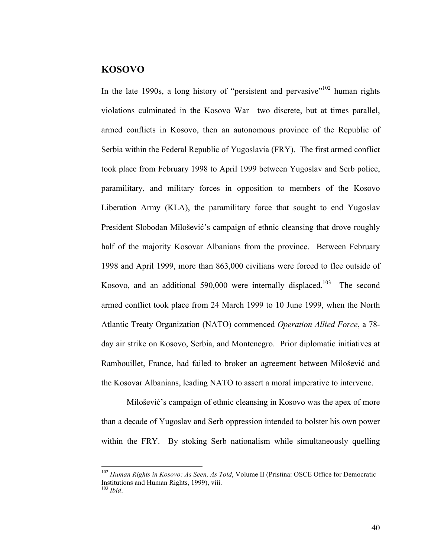## **KOSOVO**

In the late 1990s, a long history of "persistent and pervasive"<sup>102</sup> human rights violations culminated in the Kosovo War—two discrete, but at times parallel, armed conflicts in Kosovo, then an autonomous province of the Republic of Serbia within the Federal Republic of Yugoslavia (FRY). The first armed conflict took place from February 1998 to April 1999 between Yugoslav and Serb police, paramilitary, and military forces in opposition to members of the Kosovo Liberation Army (KLA), the paramilitary force that sought to end Yugoslav President Slobodan Milošević's campaign of ethnic cleansing that drove roughly half of the majority Kosovar Albanians from the province. Between February 1998 and April 1999, more than 863,000 civilians were forced to flee outside of Kosovo, and an additional 590,000 were internally displaced.<sup>103</sup> The second armed conflict took place from 24 March 1999 to 10 June 1999, when the North Atlantic Treaty Organization (NATO) commenced *Operation Allied Force*, a 78 day air strike on Kosovo, Serbia, and Montenegro. Prior diplomatic initiatives at Rambouillet, France, had failed to broker an agreement between Milošević and the Kosovar Albanians, leading NATO to assert a moral imperative to intervene.

Milošević's campaign of ethnic cleansing in Kosovo was the apex of more than a decade of Yugoslav and Serb oppression intended to bolster his own power within the FRY. By stoking Serb nationalism while simultaneously quelling

<sup>&</sup>lt;sup>102</sup> Human Rights in Kosovo: As Seen, As Told, Volume II (Pristina: OSCE Office for Democratic Institutions and Human Rights, 1999), viii. <sup>103</sup> *Ibid*.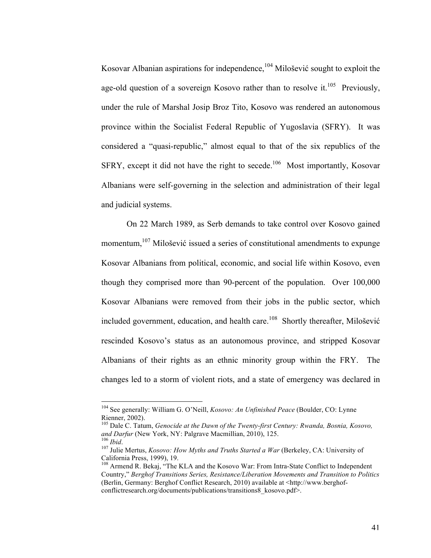Kosovar Albanian aspirations for independence,<sup>104</sup> Milošević sought to exploit the age-old question of a sovereign Kosovo rather than to resolve it.<sup>105</sup> Previously, under the rule of Marshal Josip Broz Tito, Kosovo was rendered an autonomous province within the Socialist Federal Republic of Yugoslavia (SFRY). It was considered a "quasi-republic," almost equal to that of the six republics of the SFRY, except it did not have the right to secede.<sup>106</sup> Most importantly, Kosovar Albanians were self-governing in the selection and administration of their legal and judicial systems.

On 22 March 1989, as Serb demands to take control over Kosovo gained momentum, $107$  Milošević issued a series of constitutional amendments to expunge Kosovar Albanians from political, economic, and social life within Kosovo, even though they comprised more than 90-percent of the population. Over 100,000 Kosovar Albanians were removed from their jobs in the public sector, which included government, education, and health care.<sup>108</sup> Shortly thereafter, Milošević rescinded Kosovo's status as an autonomous province, and stripped Kosovar Albanians of their rights as an ethnic minority group within the FRY. The changes led to a storm of violent riots, and a state of emergency was declared in

<sup>&</sup>lt;sup>104</sup> See generally: William G. O'Neill, *Kosovo: An Unfinished Peace* (Boulder, CO: Lynne Rienner, 2002).

<sup>105</sup> Dale C. Tatum, *Genocide at the Dawn of the Twenty-first Century: Rwanda, Bosnia, Kosovo, and Darfur* (New York, NY: Palgrave Macmillian, 2010), 125.<br><sup>106</sup> *Ibid.* 107 Julie Mertus, *Kosovo: How Myths and Truths Started a War* (Berkeley, CA: University of

California Press, 1999), 19.

<sup>&</sup>lt;sup>108</sup> Armend R. Bekaj, "The KLA and the Kosovo War: From Intra-State Conflict to Independent Country," *Berghof Transitions Series, Resistance/Liberation Movements and Transition to Politics* (Berlin, Germany: Berghof Conflict Research, 2010) available at <http://www.berghofconflictresearch.org/documents/publications/transitions8\_kosovo.pdf>.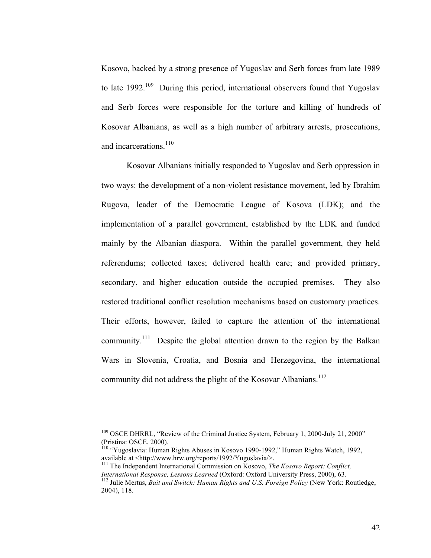Kosovo, backed by a strong presence of Yugoslav and Serb forces from late 1989 to late  $1992$ <sup>109</sup> During this period, international observers found that Yugoslav and Serb forces were responsible for the torture and killing of hundreds of Kosovar Albanians, as well as a high number of arbitrary arrests, prosecutions, and incarcerations. $110$ 

Kosovar Albanians initially responded to Yugoslav and Serb oppression in two ways: the development of a non-violent resistance movement, led by Ibrahim Rugova, leader of the Democratic League of Kosova (LDK); and the implementation of a parallel government, established by the LDK and funded mainly by the Albanian diaspora. Within the parallel government, they held referendums; collected taxes; delivered health care; and provided primary, secondary, and higher education outside the occupied premises. They also restored traditional conflict resolution mechanisms based on customary practices. Their efforts, however, failed to capture the attention of the international community.<sup>111</sup> Despite the global attention drawn to the region by the Balkan Wars in Slovenia, Croatia, and Bosnia and Herzegovina, the international community did not address the plight of the Kosovar Albanians.<sup>112</sup>

<sup>&</sup>lt;sup>109</sup> OSCE DHRRL, "Review of the Criminal Justice System, February 1, 2000-July 21, 2000" (Pristina: OSCE, 2000).

<sup>&</sup>lt;sup>110</sup> "Yugoslavia: Human Rights Abuses in Kosovo 1990-1992," Human Rights Watch, 1992, available at <http://www.hrw.org/reports/1992/Yugoslavia/>.

<sup>&</sup>lt;sup>111</sup> The Independent International Commission on Kosovo, *The Kosovo Report: Conflict*, *International Response, Lessons Learned* (Oxford: Oxford University Press, 2000), 63. 112 Julie Mertus, *Bait and Switch: Human Rights and U.S. Foreign Policy* (New York: Routledge,

<sup>2004), 118.</sup>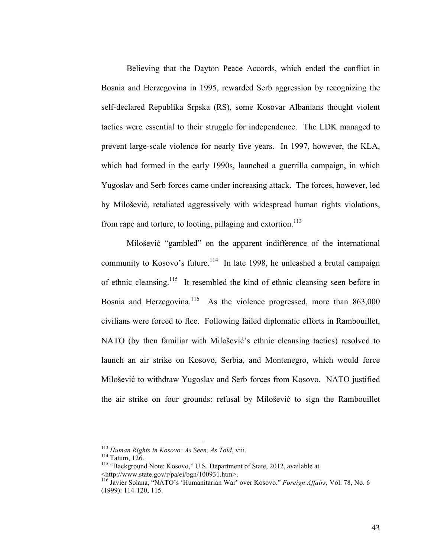Believing that the Dayton Peace Accords, which ended the conflict in Bosnia and Herzegovina in 1995, rewarded Serb aggression by recognizing the self-declared Republika Srpska (RS), some Kosovar Albanians thought violent tactics were essential to their struggle for independence. The LDK managed to prevent large-scale violence for nearly five years. In 1997, however, the KLA, which had formed in the early 1990s, launched a guerrilla campaign, in which Yugoslav and Serb forces came under increasing attack. The forces, however, led by Milošević, retaliated aggressively with widespread human rights violations, from rape and torture, to looting, pillaging and extortion.<sup>113</sup>

Milošević "gambled" on the apparent indifference of the international community to Kosovo's future.<sup>114</sup> In late 1998, he unleashed a brutal campaign of ethnic cleansing.115 It resembled the kind of ethnic cleansing seen before in Bosnia and Herzegovina.<sup>116</sup> As the violence progressed, more than 863,000 civilians were forced to flee. Following failed diplomatic efforts in Rambouillet, NATO (by then familiar with Milošević's ethnic cleansing tactics) resolved to launch an air strike on Kosovo, Serbia, and Montenegro, which would force Milošević to withdraw Yugoslav and Serb forces from Kosovo. NATO justified the air strike on four grounds: refusal by Milošević to sign the Rambouillet

<sup>&</sup>lt;sup>113</sup> Human Rights in Kosovo: As Seen, As Told, viii.<br><sup>114</sup> Tatum, 126.<br><sup>115</sup> "Background Note: Kosovo," U.S. Department of State, 2012, available at <http://www.state.gov/r/pa/ei/bgn/100931.htm>.

<sup>116</sup> Javier Solana, "NATO's 'Humanitarian War' over Kosovo." *Foreign Affairs,* Vol. 78, No. 6 (1999): 114-120, 115.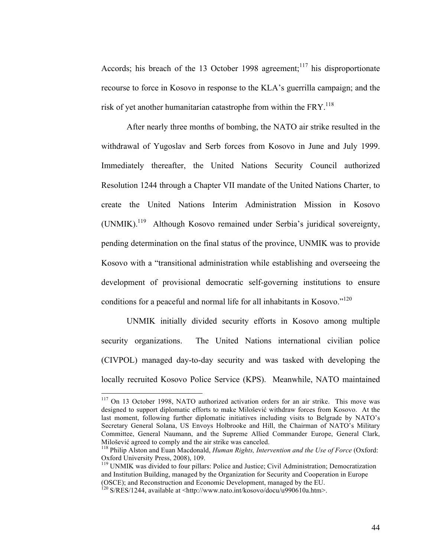Accords; his breach of the 13 October 1998 agreement;<sup>117</sup> his disproportionate recourse to force in Kosovo in response to the KLA's guerrilla campaign; and the risk of yet another humanitarian catastrophe from within the  $FRY$ .<sup>118</sup>

After nearly three months of bombing, the NATO air strike resulted in the withdrawal of Yugoslav and Serb forces from Kosovo in June and July 1999. Immediately thereafter, the United Nations Security Council authorized Resolution 1244 through a Chapter VII mandate of the United Nations Charter, to create the United Nations Interim Administration Mission in Kosovo (UNMIK).119 Although Kosovo remained under Serbia's juridical sovereignty, pending determination on the final status of the province, UNMIK was to provide Kosovo with a "transitional administration while establishing and overseeing the development of provisional democratic self-governing institutions to ensure conditions for a peaceful and normal life for all inhabitants in Kosovo."<sup>120</sup>

UNMIK initially divided security efforts in Kosovo among multiple security organizations. The United Nations international civilian police (CIVPOL) managed day-to-day security and was tasked with developing the locally recruited Kosovo Police Service (KPS). Meanwhile, NATO maintained

 $117$  On 13 October 1998, NATO authorized activation orders for an air strike. This move was designed to support diplomatic efforts to make Milošević withdraw forces from Kosovo. At the last moment, following further diplomatic initiatives including visits to Belgrade by NATO's Secretary General Solana, US Envoys Holbrooke and Hill, the Chairman of NATO's Military Committee, General Naumann, and the Supreme Allied Commander Europe, General Clark,

<sup>&</sup>lt;sup>118</sup> Philip Alston and Euan Macdonald, *Human Rights, Intervention and the Use of Force* (Oxford: Oxford University Press, 2008), 109.

<sup>&</sup>lt;sup>119</sup> UNMIK was divided to four pillars: Police and Justice; Civil Administration; Democratization and Institution Building, managed by the Organization for Security and Cooperation in Europe (OSCE); and Reconstruction and Economic Development, managed by the EU.

 $120$  S/RES/1244, available at <http://www.nato.int/kosovo/docu/u990610a.htm>.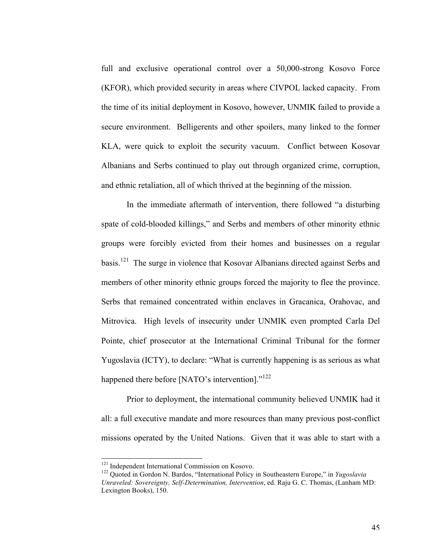full and exclusive operational control over a 50,000-strong Kosovo Force (KFOR), which provided security in areas where CIVPOL lacked capacity. From the time of its initial deployment in Kosovo, however, UNMIK failed to provide a secure environment. Belligerents and other spoilers, many linked to the former KLA, were quick to exploit the security vacuum. Conflict between Kosovar Albanians and Serbs continued to play out through organized crime, corruption, and ethnic retaliation, all of which thrived at the beginning of the mission.

In the immediate aftermath of intervention, there followed "a disturbing spate of cold-blooded killings," and Serbs and members of other minority ethnic groups were forcibly evicted from their homes and businesses on a regular basis.121 The surge in violence that Kosovar Albanians directed against Serbs and members of other minority ethnic groups forced the majority to flee the province. Serbs that remained concentrated within enclaves in Gracanica, Orahovac, and Mitrovica. High levels of insecurity under UNMIK even prompted Carla Del Pointe, chief prosecutor at the International Criminal Tribunal for the former Yugoslavia (ICTY), to declare: "What is currently happening is as serious as what happened there before [NATO's intervention]."<sup>122</sup>

Prior to deployment, the international community believed UNMIK had it all: a full executive mandate and more resources than many previous post-conflict missions operated by the United Nations. Given that it was able to start with a

<sup>&</sup>lt;sup>121</sup> Independent International Commission on Kosovo.<br><sup>122</sup> Ouoted in Gordon N. Bardos, "International Policy in Southeastern Europe," in *Yugoslavia Unraveled: Sovereignty, Self-Determination, Intervention*, ed. Raju G. C. Thomas, (Lanham MD: Lexington Books), 150.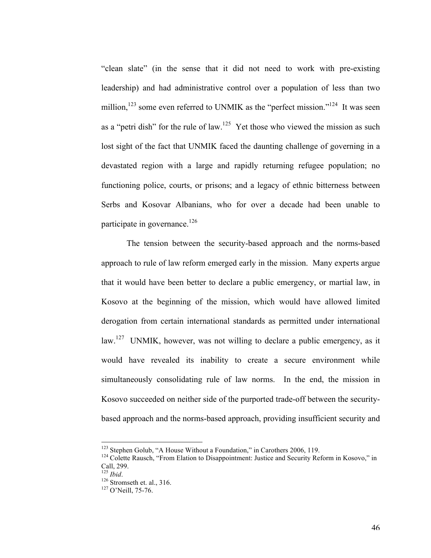"clean slate" (in the sense that it did not need to work with pre-existing leadership) and had administrative control over a population of less than two million,  $123$  some even referred to UNMIK as the "perfect mission."  $124$  It was seen as a "petri dish" for the rule of law.<sup>125</sup> Yet those who viewed the mission as such lost sight of the fact that UNMIK faced the daunting challenge of governing in a devastated region with a large and rapidly returning refugee population; no functioning police, courts, or prisons; and a legacy of ethnic bitterness between Serbs and Kosovar Albanians, who for over a decade had been unable to participate in governance.<sup>126</sup>

The tension between the security-based approach and the norms-based approach to rule of law reform emerged early in the mission. Many experts argue that it would have been better to declare a public emergency, or martial law, in Kosovo at the beginning of the mission, which would have allowed limited derogation from certain international standards as permitted under international law.<sup>127</sup> UNMIK, however, was not willing to declare a public emergency, as it would have revealed its inability to create a secure environment while simultaneously consolidating rule of law norms. In the end, the mission in Kosovo succeeded on neither side of the purported trade-off between the securitybased approach and the norms-based approach, providing insufficient security and

<sup>&</sup>lt;sup>123</sup> Stephen Golub, "A House Without a Foundation," in Carothers 2006, 119.<br><sup>124</sup> Colette Rausch, "From Elation to Disappointment: Justice and Security Reform in Kosovo," in Call, 299.<br> $^{125}$  *Ibid.* 

<sup>126</sup> Stromseth et. al., 316.<br><sup>127</sup> O'Neill, 75-76.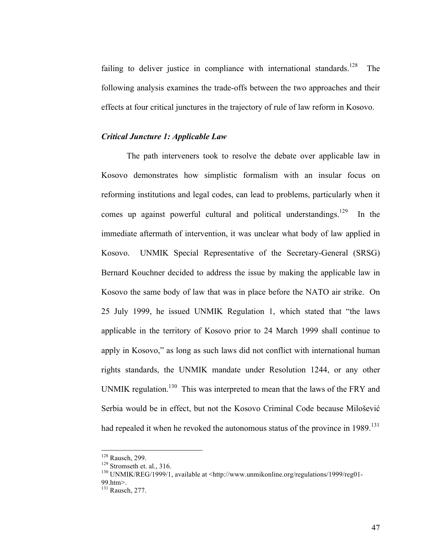failing to deliver justice in compliance with international standards.<sup>128</sup> The following analysis examines the trade-offs between the two approaches and their effects at four critical junctures in the trajectory of rule of law reform in Kosovo.

#### *Critical Juncture 1: Applicable Law*

The path interveners took to resolve the debate over applicable law in Kosovo demonstrates how simplistic formalism with an insular focus on reforming institutions and legal codes, can lead to problems, particularly when it comes up against powerful cultural and political understandings.<sup>129</sup> In the immediate aftermath of intervention, it was unclear what body of law applied in Kosovo. UNMIK Special Representative of the Secretary-General (SRSG) Bernard Kouchner decided to address the issue by making the applicable law in Kosovo the same body of law that was in place before the NATO air strike. On 25 July 1999, he issued UNMIK Regulation 1, which stated that "the laws applicable in the territory of Kosovo prior to 24 March 1999 shall continue to apply in Kosovo," as long as such laws did not conflict with international human rights standards, the UNMIK mandate under Resolution 1244, or any other UNMIK regulation.<sup>130</sup> This was interpreted to mean that the laws of the FRY and Serbia would be in effect, but not the Kosovo Criminal Code because Milošević had repealed it when he revoked the autonomous status of the province in  $1989$ <sup>131</sup>

<sup>&</sup>lt;sup>128</sup> Rausch, 299.<br><sup>129</sup> Stromseth et. al., 316.<br><sup>130</sup> UNMIK/REG/1999/1, available at <http://www.unmikonline.org/regulations/1999/reg01-99.htm>.

<sup>131</sup> Rausch, 277.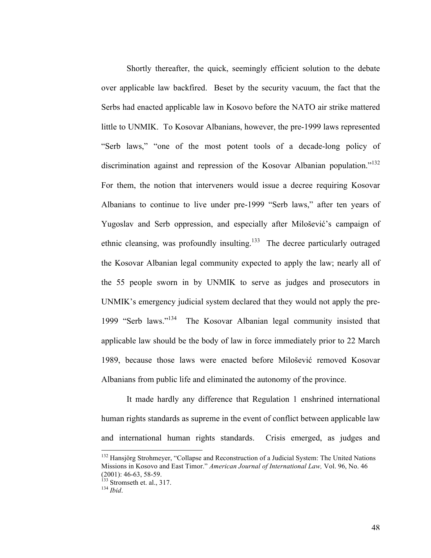Shortly thereafter, the quick, seemingly efficient solution to the debate over applicable law backfired. Beset by the security vacuum, the fact that the Serbs had enacted applicable law in Kosovo before the NATO air strike mattered little to UNMIK. To Kosovar Albanians, however, the pre-1999 laws represented "Serb laws," "one of the most potent tools of a decade-long policy of discrimination against and repression of the Kosovar Albanian population."<sup>132</sup> For them, the notion that interveners would issue a decree requiring Kosovar Albanians to continue to live under pre-1999 "Serb laws," after ten years of Yugoslav and Serb oppression, and especially after Milošević's campaign of ethnic cleansing, was profoundly insulting.<sup>133</sup> The decree particularly outraged the Kosovar Albanian legal community expected to apply the law; nearly all of the 55 people sworn in by UNMIK to serve as judges and prosecutors in UNMIK's emergency judicial system declared that they would not apply the pre-1999 "Serb laws."134 The Kosovar Albanian legal community insisted that applicable law should be the body of law in force immediately prior to 22 March 1989, because those laws were enacted before Milošević removed Kosovar Albanians from public life and eliminated the autonomy of the province.

It made hardly any difference that Regulation 1 enshrined international human rights standards as supreme in the event of conflict between applicable law and international human rights standards. Crisis emerged, as judges and

<sup>&</sup>lt;sup>132</sup> Hansjörg Strohmeyer, "Collapse and Reconstruction of a Judicial System: The United Nations Missions in Kosovo and East Timor." *American Journal of International Law,* Vol. 96, No. 46 (2001): 46-63, 58-59. 133 Stromseth et. al., 317. <sup>134</sup> *Ibid*.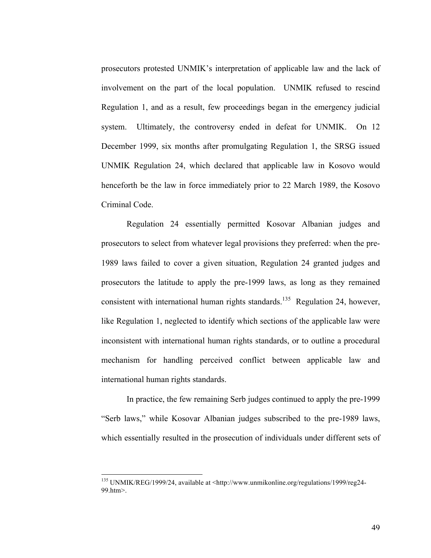prosecutors protested UNMIK's interpretation of applicable law and the lack of involvement on the part of the local population. UNMIK refused to rescind Regulation 1, and as a result, few proceedings began in the emergency judicial system. Ultimately, the controversy ended in defeat for UNMIK. On 12 December 1999, six months after promulgating Regulation 1, the SRSG issued UNMIK Regulation 24, which declared that applicable law in Kosovo would henceforth be the law in force immediately prior to 22 March 1989, the Kosovo Criminal Code.

Regulation 24 essentially permitted Kosovar Albanian judges and prosecutors to select from whatever legal provisions they preferred: when the pre-1989 laws failed to cover a given situation, Regulation 24 granted judges and prosecutors the latitude to apply the pre-1999 laws, as long as they remained consistent with international human rights standards.<sup>135</sup> Regulation 24, however, like Regulation 1, neglected to identify which sections of the applicable law were inconsistent with international human rights standards, or to outline a procedural mechanism for handling perceived conflict between applicable law and international human rights standards.

In practice, the few remaining Serb judges continued to apply the pre-1999 "Serb laws," while Kosovar Albanian judges subscribed to the pre-1989 laws, which essentially resulted in the prosecution of individuals under different sets of

<sup>&</sup>lt;sup>135</sup> UNMIK/REG/1999/24, available at <http://www.unmikonline.org/regulations/1999/reg24-99.htm>.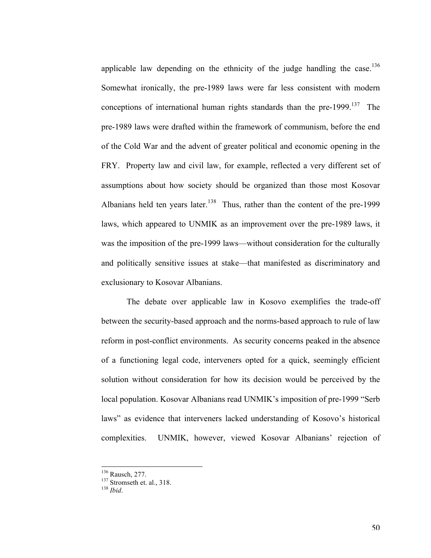applicable law depending on the ethnicity of the judge handling the case.<sup>136</sup> Somewhat ironically, the pre-1989 laws were far less consistent with modern conceptions of international human rights standards than the pre-1999.<sup>137</sup> The pre-1989 laws were drafted within the framework of communism, before the end of the Cold War and the advent of greater political and economic opening in the FRY. Property law and civil law, for example, reflected a very different set of assumptions about how society should be organized than those most Kosovar Albanians held ten years later.<sup>138</sup> Thus, rather than the content of the pre-1999 laws, which appeared to UNMIK as an improvement over the pre-1989 laws, it was the imposition of the pre-1999 laws—without consideration for the culturally and politically sensitive issues at stake––that manifested as discriminatory and exclusionary to Kosovar Albanians.

The debate over applicable law in Kosovo exemplifies the trade-off between the security-based approach and the norms-based approach to rule of law reform in post-conflict environments. As security concerns peaked in the absence of a functioning legal code, interveners opted for a quick, seemingly efficient solution without consideration for how its decision would be perceived by the local population. Kosovar Albanians read UNMIK's imposition of pre-1999 "Serb laws" as evidence that interveners lacked understanding of Kosovo's historical complexities. UNMIK, however, viewed Kosovar Albanians' rejection of

<sup>&</sup>lt;sup>136</sup> Rausch, 277.<br><sup>137</sup> Stromseth et. al., 318.<br><sup>138</sup> *Ibid*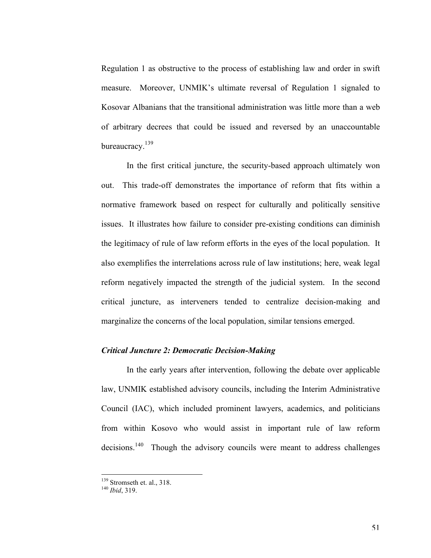Regulation 1 as obstructive to the process of establishing law and order in swift measure. Moreover, UNMIK's ultimate reversal of Regulation 1 signaled to Kosovar Albanians that the transitional administration was little more than a web of arbitrary decrees that could be issued and reversed by an unaccountable bureaucracy.<sup>139</sup>

In the first critical juncture, the security-based approach ultimately won out. This trade-off demonstrates the importance of reform that fits within a normative framework based on respect for culturally and politically sensitive issues. It illustrates how failure to consider pre-existing conditions can diminish the legitimacy of rule of law reform efforts in the eyes of the local population. It also exemplifies the interrelations across rule of law institutions; here, weak legal reform negatively impacted the strength of the judicial system. In the second critical juncture, as interveners tended to centralize decision-making and marginalize the concerns of the local population, similar tensions emerged.

#### *Critical Juncture 2: Democratic Decision-Making*

In the early years after intervention, following the debate over applicable law, UNMIK established advisory councils, including the Interim Administrative Council (IAC), which included prominent lawyers, academics, and politicians from within Kosovo who would assist in important rule of law reform decisions.<sup>140</sup> Though the advisory councils were meant to address challenges

<sup>&</sup>lt;sup>139</sup> Stromseth et. al., 318.<br><sup>140</sup> *Ibid*, 319.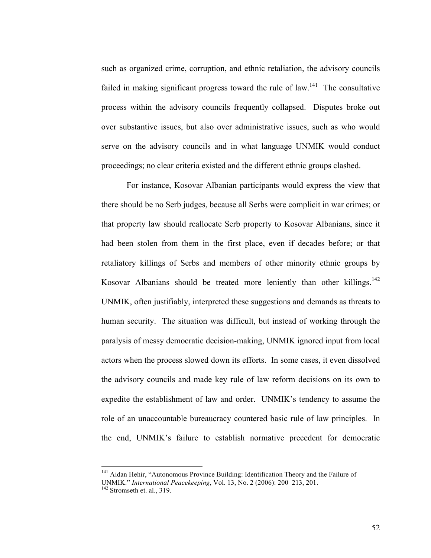such as organized crime, corruption, and ethnic retaliation, the advisory councils failed in making significant progress toward the rule of law.<sup>141</sup> The consultative process within the advisory councils frequently collapsed. Disputes broke out over substantive issues, but also over administrative issues, such as who would serve on the advisory councils and in what language UNMIK would conduct proceedings; no clear criteria existed and the different ethnic groups clashed.

For instance, Kosovar Albanian participants would express the view that there should be no Serb judges, because all Serbs were complicit in war crimes; or that property law should reallocate Serb property to Kosovar Albanians, since it had been stolen from them in the first place, even if decades before; or that retaliatory killings of Serbs and members of other minority ethnic groups by Kosovar Albanians should be treated more leniently than other killings.<sup>142</sup> UNMIK, often justifiably, interpreted these suggestions and demands as threats to human security. The situation was difficult, but instead of working through the paralysis of messy democratic decision-making, UNMIK ignored input from local actors when the process slowed down its efforts. In some cases, it even dissolved the advisory councils and made key rule of law reform decisions on its own to expedite the establishment of law and order. UNMIK's tendency to assume the role of an unaccountable bureaucracy countered basic rule of law principles. In the end, UNMIK's failure to establish normative precedent for democratic

<sup>&</sup>lt;sup>141</sup> Aidan Hehir, "Autonomous Province Building: Identification Theory and the Failure of

UNMIK." *International Peacekeeping*, Vol. 13, No. 2 (2006): 200–213, 201. 142 Stromseth et. al., 319.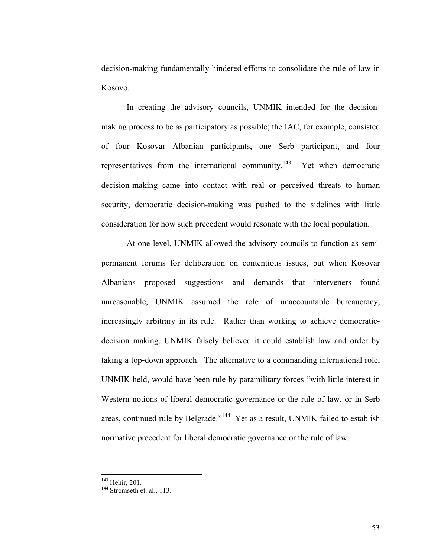decision-making fundamentally hindered efforts to consolidate the rule of law in Kosovo.

In creating the advisory councils, UNMIK intended for the decisionmaking process to be as participatory as possible; the IAC, for example, consisted of four Kosovar Albanian participants, one Serb participant, and four representatives from the international community.<sup>143</sup> Yet when democratic decision-making came into contact with real or perceived threats to human security, democratic decision-making was pushed to the sidelines with little consideration for how such precedent would resonate with the local population.

At one level, UNMIK allowed the advisory councils to function as semipermanent forums for deliberation on contentious issues, but when Kosovar Albanians proposed suggestions and demands that interveners found unreasonable, UNMIK assumed the role of unaccountable bureaucracy, increasingly arbitrary in its rule. Rather than working to achieve democraticdecision making, UNMIK falsely believed it could establish law and order by taking a top-down approach. The alternative to a commanding international role, UNMIK held, would have been rule by paramilitary forces "with little interest in Western notions of liberal democratic governance or the rule of law, or in Serb areas, continued rule by Belgrade."144 Yet as a result, UNMIK failed to establish normative precedent for liberal democratic governance or the rule of law.

<sup>&</sup>lt;sup>143</sup> Hehir, 201.<br><sup>144</sup> Stromseth et. al., 113.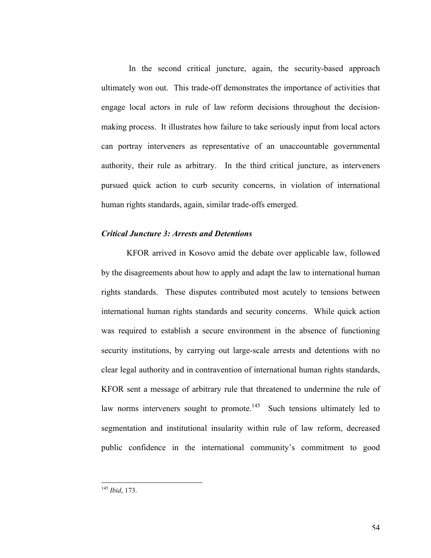In the second critical juncture, again, the security-based approach ultimately won out. This trade-off demonstrates the importance of activities that engage local actors in rule of law reform decisions throughout the decisionmaking process. It illustrates how failure to take seriously input from local actors can portray interveners as representative of an unaccountable governmental authority, their rule as arbitrary. In the third critical juncture, as interveners pursued quick action to curb security concerns, in violation of international human rights standards, again, similar trade-offs emerged.

#### *Critical Juncture 3: Arrests and Detentions*

KFOR arrived in Kosovo amid the debate over applicable law, followed by the disagreements about how to apply and adapt the law to international human rights standards. These disputes contributed most acutely to tensions between international human rights standards and security concerns. While quick action was required to establish a secure environment in the absence of functioning security institutions, by carrying out large-scale arrests and detentions with no clear legal authority and in contravention of international human rights standards, KFOR sent a message of arbitrary rule that threatened to undermine the rule of law norms interveners sought to promote.<sup>145</sup> Such tensions ultimately led to segmentation and institutional insularity within rule of law reform, decreased public confidence in the international community's commitment to good

<sup>&</sup>lt;sup>145</sup> Ibid. 173.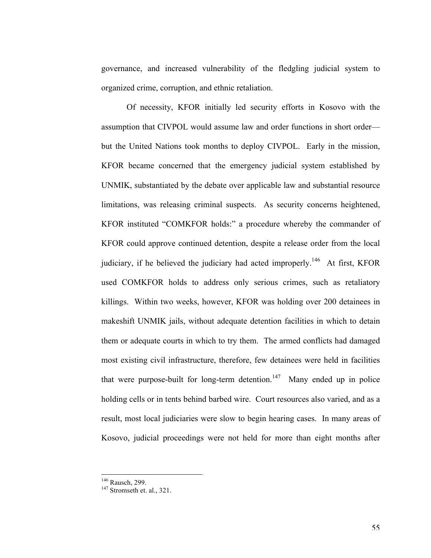governance, and increased vulnerability of the fledgling judicial system to organized crime, corruption, and ethnic retaliation.

Of necessity, KFOR initially led security efforts in Kosovo with the assumption that CIVPOL would assume law and order functions in short order–– but the United Nations took months to deploy CIVPOL. Early in the mission, KFOR became concerned that the emergency judicial system established by UNMIK, substantiated by the debate over applicable law and substantial resource limitations, was releasing criminal suspects. As security concerns heightened, KFOR instituted "COMKFOR holds:" a procedure whereby the commander of KFOR could approve continued detention, despite a release order from the local judiciary, if he believed the judiciary had acted improperly.<sup>146</sup> At first, KFOR used COMKFOR holds to address only serious crimes, such as retaliatory killings. Within two weeks, however, KFOR was holding over 200 detainees in makeshift UNMIK jails, without adequate detention facilities in which to detain them or adequate courts in which to try them. The armed conflicts had damaged most existing civil infrastructure, therefore, few detainees were held in facilities that were purpose-built for long-term detention.<sup>147</sup> Many ended up in police holding cells or in tents behind barbed wire. Court resources also varied, and as a result, most local judiciaries were slow to begin hearing cases. In many areas of Kosovo, judicial proceedings were not held for more than eight months after

<sup>&</sup>lt;sup>146</sup> Rausch, 299.<br><sup>147</sup> Stromseth et. al., 321.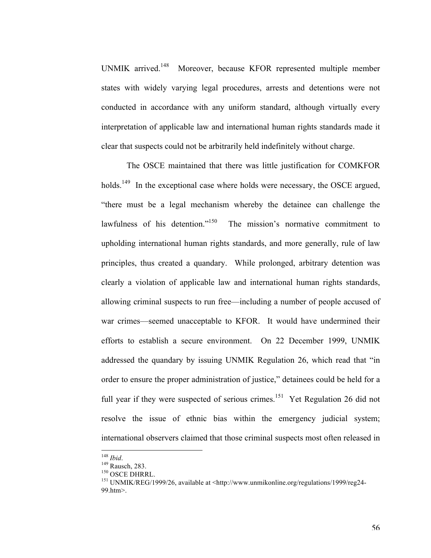UNMIK arrived.148 Moreover, because KFOR represented multiple member states with widely varying legal procedures, arrests and detentions were not conducted in accordance with any uniform standard, although virtually every interpretation of applicable law and international human rights standards made it clear that suspects could not be arbitrarily held indefinitely without charge.

The OSCE maintained that there was little justification for COMKFOR holds.<sup>149</sup> In the exceptional case where holds were necessary, the OSCE argued, "there must be a legal mechanism whereby the detainee can challenge the lawfulness of his detention."<sup>150</sup> The mission's normative commitment to upholding international human rights standards, and more generally, rule of law principles, thus created a quandary. While prolonged, arbitrary detention was clearly a violation of applicable law and international human rights standards, allowing criminal suspects to run free––including a number of people accused of war crimes––seemed unacceptable to KFOR. It would have undermined their efforts to establish a secure environment. On 22 December 1999, UNMIK addressed the quandary by issuing UNMIK Regulation 26, which read that "in order to ensure the proper administration of justice," detainees could be held for a full year if they were suspected of serious crimes.<sup>151</sup> Yet Regulation 26 did not resolve the issue of ethnic bias within the emergency judicial system; international observers claimed that those criminal suspects most often released in

<sup>&</sup>lt;sup>148</sup> *Ibid.*<br><sup>149</sup> Rausch, 283.<br><sup>150</sup> OSCE DHRRL.<br><sup>151</sup> UNMIK/REG/1999/26, available at <http://www.unmikonline.org/regulations/1999/reg24-99.htm>.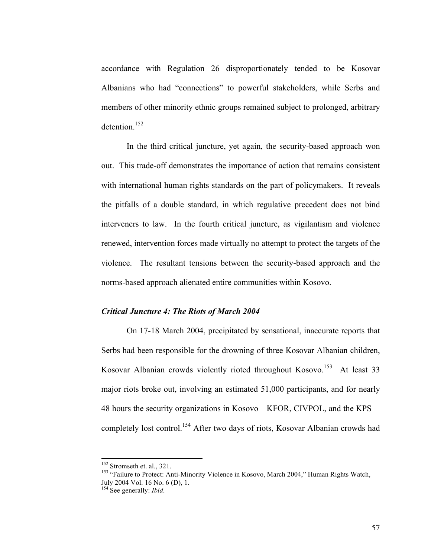accordance with Regulation 26 disproportionately tended to be Kosovar Albanians who had "connections" to powerful stakeholders, while Serbs and members of other minority ethnic groups remained subject to prolonged, arbitrary detention $152$ 

In the third critical juncture, yet again, the security-based approach won out. This trade-off demonstrates the importance of action that remains consistent with international human rights standards on the part of policymakers. It reveals the pitfalls of a double standard, in which regulative precedent does not bind interveners to law. In the fourth critical juncture, as vigilantism and violence renewed, intervention forces made virtually no attempt to protect the targets of the violence. The resultant tensions between the security-based approach and the norms-based approach alienated entire communities within Kosovo.

### *Critical Juncture 4: The Riots of March 2004*

On 17-18 March 2004, precipitated by sensational, inaccurate reports that Serbs had been responsible for the drowning of three Kosovar Albanian children, Kosovar Albanian crowds violently rioted throughout Kosovo.<sup>153</sup> At least 33 major riots broke out, involving an estimated 51,000 participants, and for nearly 48 hours the security organizations in Kosovo—KFOR, CIVPOL, and the KPS completely lost control.<sup>154</sup> After two days of riots, Kosovar Albanian crowds had

<sup>&</sup>lt;sup>152</sup> Stromseth et. al., 321.<br><sup>153</sup> "Failure to Protect: Anti-Minority Violence in Kosovo, March 2004," Human Rights Watch, July 2004 Vol. 16 No. 6 (D), 1. 154 See generally: *Ibid*.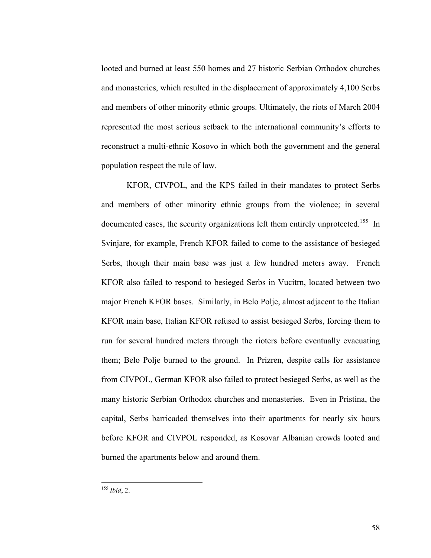looted and burned at least 550 homes and 27 historic Serbian Orthodox churches and monasteries, which resulted in the displacement of approximately 4,100 Serbs and members of other minority ethnic groups. Ultimately, the riots of March 2004 represented the most serious setback to the international community's efforts to reconstruct a multi-ethnic Kosovo in which both the government and the general population respect the rule of law.

KFOR, CIVPOL, and the KPS failed in their mandates to protect Serbs and members of other minority ethnic groups from the violence; in several documented cases, the security organizations left them entirely unprotected.<sup>155</sup> In Svinjare, for example, French KFOR failed to come to the assistance of besieged Serbs, though their main base was just a few hundred meters away. French KFOR also failed to respond to besieged Serbs in Vucitrn, located between two major French KFOR bases. Similarly, in Belo Polje, almost adjacent to the Italian KFOR main base, Italian KFOR refused to assist besieged Serbs, forcing them to run for several hundred meters through the rioters before eventually evacuating them; Belo Polje burned to the ground. In Prizren, despite calls for assistance from CIVPOL, German KFOR also failed to protect besieged Serbs, as well as the many historic Serbian Orthodox churches and monasteries. Even in Pristina, the capital, Serbs barricaded themselves into their apartments for nearly six hours before KFOR and CIVPOL responded, as Kosovar Albanian crowds looted and burned the apartments below and around them.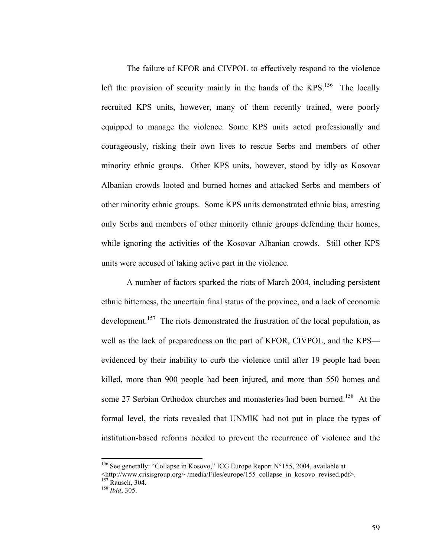The failure of KFOR and CIVPOL to effectively respond to the violence left the provision of security mainly in the hands of the KPS.<sup>156</sup> The locally recruited KPS units, however, many of them recently trained, were poorly equipped to manage the violence. Some KPS units acted professionally and courageously, risking their own lives to rescue Serbs and members of other minority ethnic groups. Other KPS units, however, stood by idly as Kosovar Albanian crowds looted and burned homes and attacked Serbs and members of other minority ethnic groups. Some KPS units demonstrated ethnic bias, arresting only Serbs and members of other minority ethnic groups defending their homes, while ignoring the activities of the Kosovar Albanian crowds. Still other KPS units were accused of taking active part in the violence.

A number of factors sparked the riots of March 2004, including persistent ethnic bitterness, the uncertain final status of the province, and a lack of economic development.<sup>157</sup> The riots demonstrated the frustration of the local population, as well as the lack of preparedness on the part of KFOR, CIVPOL, and the KPS evidenced by their inability to curb the violence until after 19 people had been killed, more than 900 people had been injured, and more than 550 homes and some 27 Serbian Orthodox churches and monasteries had been burned.<sup>158</sup> At the formal level, the riots revealed that UNMIK had not put in place the types of institution-based reforms needed to prevent the recurrence of violence and the

<sup>&</sup>lt;sup>156</sup> See generally: "Collapse in Kosovo," ICG Europe Report N°155, 2004, available at

<sup>&</sup>lt;http://www.crisisgroup.org/~/media/Files/europe/155\_collapse\_in\_kosovo\_revised.pdf>.

<sup>157</sup> Rausch, 304. <sup>158</sup> *Ibid*, 305.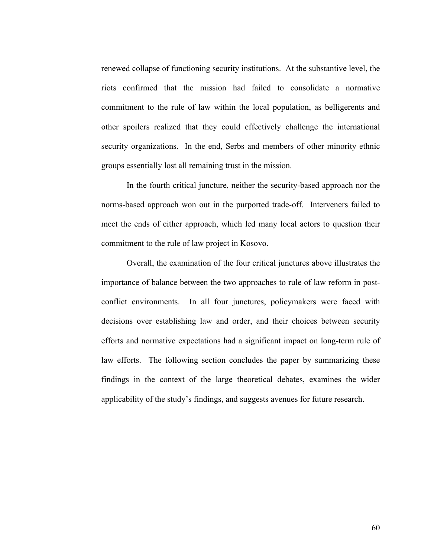renewed collapse of functioning security institutions. At the substantive level, the riots confirmed that the mission had failed to consolidate a normative commitment to the rule of law within the local population, as belligerents and other spoilers realized that they could effectively challenge the international security organizations. In the end, Serbs and members of other minority ethnic groups essentially lost all remaining trust in the mission.

In the fourth critical juncture, neither the security-based approach nor the norms-based approach won out in the purported trade-off. Interveners failed to meet the ends of either approach, which led many local actors to question their commitment to the rule of law project in Kosovo.

Overall, the examination of the four critical junctures above illustrates the importance of balance between the two approaches to rule of law reform in postconflict environments. In all four junctures, policymakers were faced with decisions over establishing law and order, and their choices between security efforts and normative expectations had a significant impact on long-term rule of law efforts. The following section concludes the paper by summarizing these findings in the context of the large theoretical debates, examines the wider applicability of the study's findings, and suggests avenues for future research.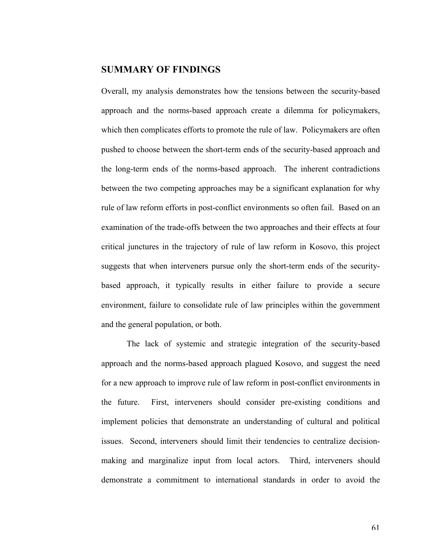### **SUMMARY OF FINDINGS**

Overall, my analysis demonstrates how the tensions between the security-based approach and the norms-based approach create a dilemma for policymakers, which then complicates efforts to promote the rule of law. Policymakers are often pushed to choose between the short-term ends of the security-based approach and the long-term ends of the norms-based approach. The inherent contradictions between the two competing approaches may be a significant explanation for why rule of law reform efforts in post-conflict environments so often fail. Based on an examination of the trade-offs between the two approaches and their effects at four critical junctures in the trajectory of rule of law reform in Kosovo, this project suggests that when interveners pursue only the short-term ends of the securitybased approach, it typically results in either failure to provide a secure environment, failure to consolidate rule of law principles within the government and the general population, or both.

The lack of systemic and strategic integration of the security-based approach and the norms-based approach plagued Kosovo, and suggest the need for a new approach to improve rule of law reform in post-conflict environments in the future. First, interveners should consider pre-existing conditions and implement policies that demonstrate an understanding of cultural and political issues. Second, interveners should limit their tendencies to centralize decisionmaking and marginalize input from local actors. Third, interveners should demonstrate a commitment to international standards in order to avoid the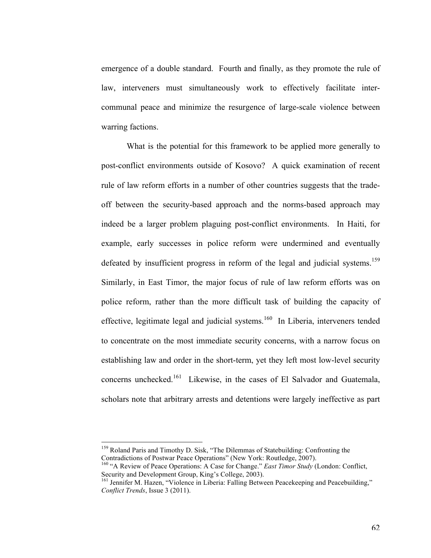emergence of a double standard. Fourth and finally, as they promote the rule of law, interveners must simultaneously work to effectively facilitate intercommunal peace and minimize the resurgence of large-scale violence between warring factions.

What is the potential for this framework to be applied more generally to post-conflict environments outside of Kosovo? A quick examination of recent rule of law reform efforts in a number of other countries suggests that the tradeoff between the security-based approach and the norms-based approach may indeed be a larger problem plaguing post-conflict environments. In Haiti, for example, early successes in police reform were undermined and eventually defeated by insufficient progress in reform of the legal and judicial systems.<sup>159</sup> Similarly, in East Timor, the major focus of rule of law reform efforts was on police reform, rather than the more difficult task of building the capacity of effective, legitimate legal and judicial systems.<sup>160</sup> In Liberia, interveners tended to concentrate on the most immediate security concerns, with a narrow focus on establishing law and order in the short-term, yet they left most low-level security concerns unchecked.<sup>161</sup> Likewise, in the cases of El Salvador and Guatemala, scholars note that arbitrary arrests and detentions were largely ineffective as part

<sup>&</sup>lt;sup>159</sup> Roland Paris and Timothy D. Sisk, "The Dilemmas of Statebuilding: Confronting the Contradictions of Postwar Peace Operations" (New York: Routledge, 2007).

<sup>&</sup>lt;sup>160</sup> "A Review of Peace Operations: A Case for Change." *East Timor Study* (London: Conflict, Security and Development Group, King's College, 2003).

Security and Development Group, Emily, College, 2003). 161 Jennifer M. Hazen, "Violence in Liberia: Falling Between Peacekeeping and Peacebuilding," *Conflict Trends*, Issue 3 (2011).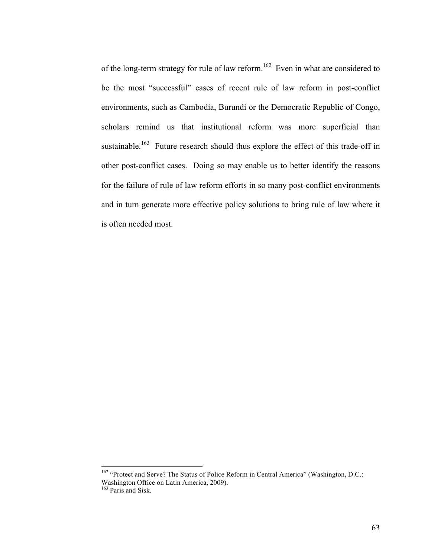of the long-term strategy for rule of law reform.<sup>162</sup> Even in what are considered to be the most "successful" cases of recent rule of law reform in post-conflict environments, such as Cambodia, Burundi or the Democratic Republic of Congo, scholars remind us that institutional reform was more superficial than sustainable.<sup>163</sup> Future research should thus explore the effect of this trade-off in other post-conflict cases. Doing so may enable us to better identify the reasons for the failure of rule of law reform efforts in so many post-conflict environments and in turn generate more effective policy solutions to bring rule of law where it is often needed most.

<sup>&</sup>lt;sup>162</sup> "Protect and Serve? The Status of Police Reform in Central America" (Washington, D.C.: Washington Office on Latin America, 2009). 163 Paris and Sisk.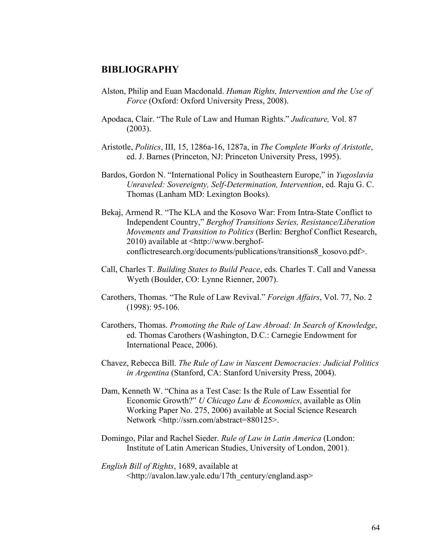# **BIBLIOGRAPHY**

- Alston, Philip and Euan Macdonald. *Human Rights, Intervention and the Use of Force* (Oxford: Oxford University Press, 2008).
- Apodaca, Clair. "The Rule of Law and Human Rights." *Judicature,* Vol. 87 (2003).
- Aristotle, *Politics*, III, 15, 1286a-16, 1287a, in *The Complete Works of Aristotle*, ed. J. Barnes (Princeton, NJ: Princeton University Press, 1995).
- Bardos, Gordon N. "International Policy in Southeastern Europe," in *Yugoslavia Unraveled: Sovereignty, Self-Determination, Intervention*, ed. Raju G. C. Thomas (Lanham MD: Lexington Books).
- Bekaj, Armend R. "The KLA and the Kosovo War: From Intra-State Conflict to Independent Country," *Berghof Transitions Series, Resistance/Liberation Movements and Transition to Politics* (Berlin: Berghof Conflict Research, 2010) available at <http://www.berghofconflictresearch.org/documents/publications/transitions8\_kosovo.pdf>.
- Call, Charles T. *Building States to Build Peace*, eds. Charles T. Call and Vanessa Wyeth (Boulder, CO: Lynne Rienner, 2007).
- Carothers, Thomas. "The Rule of Law Revival." *Foreign Affairs*, Vol. 77, No. 2 (1998): 95-106.
- Carothers, Thomas. *Promoting the Rule of Law Abroad: In Search of Knowledge*, ed. Thomas Carothers (Washington, D.C.: Carnegie Endowment for International Peace, 2006).
- Chavez, Rebecca Bill. *The Rule of Law in Nascent Democracies: Judicial Politics in Argentina* (Stanford, CA: Stanford University Press, 2004).
- Dam, Kenneth W. "China as a Test Case: Is the Rule of Law Essential for Economic Growth?" *U Chicago Law & Economics*, available as Olin Working Paper No. 275, 2006) available at Social Science Research Network <http://ssrn.com/abstract=880125>.
- Domingo, Pilar and Rachel Sieder. *Rule of Law in Latin America* (London: Institute of Latin American Studies, University of London, 2001).
- *English Bill of Rights*, 1689, available at <http://avalon.law.yale.edu/17th\_century/england.asp>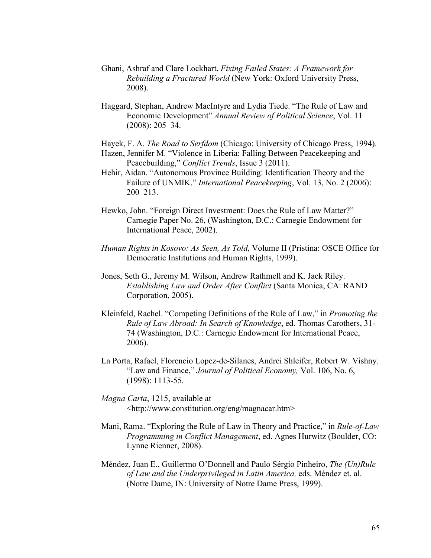- Ghani, Ashraf and Clare Lockhart. *Fixing Failed States: A Framework for Rebuilding a Fractured World* (New York: Oxford University Press, 2008).
- Haggard, Stephan, Andrew MacIntyre and Lydia Tiede. "The Rule of Law and Economic Development" *Annual Review of Political Science*, Vol. 11 (2008): 205–34.
- Hayek, F. A. *The Road to Serfdom* (Chicago: University of Chicago Press, 1994).
- Hazen, Jennifer M. "Violence in Liberia: Falling Between Peacekeeping and Peacebuilding," *Conflict Trends*, Issue 3 (2011).
- Hehir, Aidan. "Autonomous Province Building: Identification Theory and the Failure of UNMIK." *International Peacekeeping*, Vol. 13, No. 2 (2006): 200–213.
- Hewko, John. "Foreign Direct Investment: Does the Rule of Law Matter?" Carnegie Paper No. 26, (Washington, D.C.: Carnegie Endowment for International Peace, 2002).
- *Human Rights in Kosovo: As Seen, As Told*, Volume II (Pristina: OSCE Office for Democratic Institutions and Human Rights, 1999).
- Jones, Seth G., Jeremy M. Wilson, Andrew Rathmell and K. Jack Riley. *Establishing Law and Order After Conflict* (Santa Monica, CA: RAND Corporation, 2005).
- Kleinfeld, Rachel. "Competing Definitions of the Rule of Law," in *Promoting the Rule of Law Abroad: In Search of Knowledge*, ed. Thomas Carothers, 31- 74 (Washington, D.C.: Carnegie Endowment for International Peace, 2006).
- La Porta, Rafael, Florencio Lopez-de-Silanes, Andrei Shleifer, Robert W. Vishny. "Law and Finance," *Journal of Political Economy,* Vol. 106, No. 6, (1998): 1113-55.
- *Magna Carta*, 1215, available at <http://www.constitution.org/eng/magnacar.htm>
- Mani, Rama. "Exploring the Rule of Law in Theory and Practice," in *Rule-of-Law Programming in Conflict Management*, ed. Agnes Hurwitz (Boulder, CO: Lynne Rienner, 2008).
- Méndez, Juan E., Guillermo O'Donnell and Paulo Sérgio Pinheiro, *The (Un)Rule of Law and the Underprivileged in Latin America,* eds. Méndez et. al. (Notre Dame, IN: University of Notre Dame Press, 1999).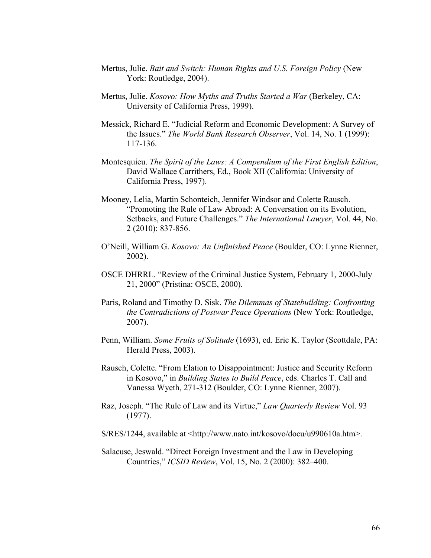- Mertus, Julie. *Bait and Switch: Human Rights and U.S. Foreign Policy* (New York: Routledge, 2004).
- Mertus, Julie. *Kosovo: How Myths and Truths Started a War* (Berkeley, CA: University of California Press, 1999).
- Messick, Richard E. "Judicial Reform and Economic Development: A Survey of the Issues." *The World Bank Research Observer*, Vol. 14, No. 1 (1999): 117-136.
- Montesquieu. *The Spirit of the Laws: A Compendium of the First English Edition*, David Wallace Carrithers, Ed., Book XII (California: University of California Press, 1997).
- Mooney, Lelia, Martin Schonteich, Jennifer Windsor and Colette Rausch. "Promoting the Rule of Law Abroad: A Conversation on its Evolution, Setbacks, and Future Challenges." *The International Lawyer*, Vol. 44, No. 2 (2010): 837-856.
- O'Neill, William G. *Kosovo: An Unfinished Peace* (Boulder, CO: Lynne Rienner, 2002).
- OSCE DHRRL. "Review of the Criminal Justice System, February 1, 2000-July 21, 2000" (Pristina: OSCE, 2000).
- Paris, Roland and Timothy D. Sisk. *The Dilemmas of Statebuilding: Confronting the Contradictions of Postwar Peace Operations* (New York: Routledge, 2007).
- Penn, William. *Some Fruits of Solitude* (1693), ed. Eric K. Taylor (Scottdale, PA: Herald Press, 2003).
- Rausch, Colette. "From Elation to Disappointment: Justice and Security Reform in Kosovo," in *Building States to Build Peace*, eds. Charles T. Call and Vanessa Wyeth, 271-312 (Boulder, CO: Lynne Rienner, 2007).
- Raz, Joseph. "The Rule of Law and its Virtue," *Law Quarterly Review* Vol. 93 (1977).
- S/RES/1244, available at <http://www.nato.int/kosovo/docu/u990610a.htm>.
- Salacuse, Jeswald. "Direct Foreign Investment and the Law in Developing Countries," *ICSID Review*, Vol. 15, No. 2 (2000): 382–400.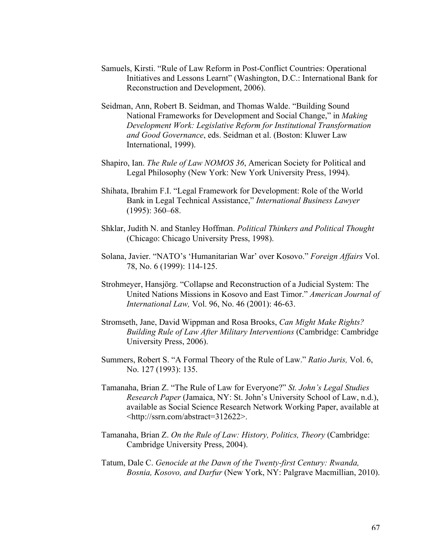- Samuels, Kirsti. "Rule of Law Reform in Post-Conflict Countries: Operational Initiatives and Lessons Learnt" (Washington, D.C.: International Bank for Reconstruction and Development, 2006).
- Seidman, Ann, Robert B. Seidman, and Thomas Walde. "Building Sound National Frameworks for Development and Social Change," in *Making Development Work: Legislative Reform for Institutional Transformation and Good Governance*, eds. Seidman et al. (Boston: Kluwer Law International, 1999).
- Shapiro, Ian. *The Rule of Law NOMOS 36*, American Society for Political and Legal Philosophy (New York: New York University Press, 1994).
- Shihata, Ibrahim F.I. "Legal Framework for Development: Role of the World Bank in Legal Technical Assistance," *International Business Lawyer* (1995): 360–68.
- Shklar, Judith N. and Stanley Hoffman. *Political Thinkers and Political Thought*  (Chicago: Chicago University Press, 1998).
- Solana, Javier. "NATO's 'Humanitarian War' over Kosovo." *Foreign Affairs* Vol. 78, No. 6 (1999): 114-125.
- Strohmeyer, Hansjörg. "Collapse and Reconstruction of a Judicial System: The United Nations Missions in Kosovo and East Timor." *American Journal of International Law,* Vol. 96, No. 46 (2001): 46-63.
- Stromseth, Jane, David Wippman and Rosa Brooks, *Can Might Make Rights? Building Rule of Law After Military Interventions* (Cambridge: Cambridge University Press, 2006).
- Summers, Robert S. "A Formal Theory of the Rule of Law." *Ratio Juris,* Vol. 6, No. 127 (1993): 135.
- Tamanaha, Brian Z. "The Rule of Law for Everyone?" *St. John's Legal Studies Research Paper* (Jamaica, NY: St. John's University School of Law, n.d.), available as Social Science Research Network Working Paper, available at <http://ssrn.com/abstract=312622>.
- Tamanaha, Brian Z. *On the Rule of Law: History, Politics, Theory* (Cambridge: Cambridge University Press, 2004).
- Tatum, Dale C. *Genocide at the Dawn of the Twenty-first Century: Rwanda, Bosnia, Kosovo, and Darfur* (New York, NY: Palgrave Macmillian, 2010).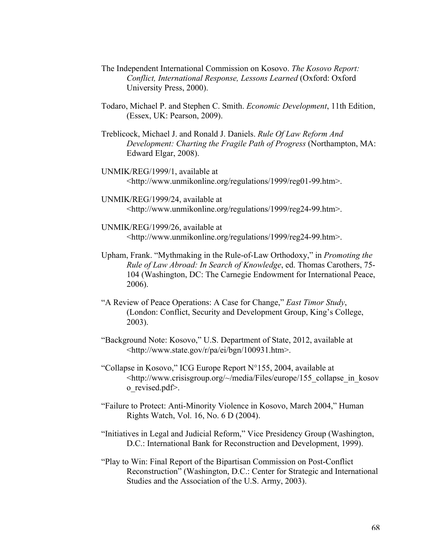- The Independent International Commission on Kosovo. *The Kosovo Report: Conflict, International Response, Lessons Learned* (Oxford: Oxford University Press, 2000).
- Todaro, Michael P. and Stephen C. Smith. *Economic Development*, 11th Edition, (Essex, UK: Pearson, 2009).
- Treblicock, Michael J. and Ronald J. Daniels. *Rule Of Law Reform And Development: Charting the Fragile Path of Progress* (Northampton, MA: Edward Elgar, 2008).
- UNMIK/REG/1999/1, available at <http://www.unmikonline.org/regulations/1999/reg01-99.htm>.
- UNMIK/REG/1999/24, available at <http://www.unmikonline.org/regulations/1999/reg24-99.htm>.
- UNMIK/REG/1999/26, available at <http://www.unmikonline.org/regulations/1999/reg24-99.htm>.
- Upham, Frank. "Mythmaking in the Rule-of-Law Orthodoxy," in *Promoting the Rule of Law Abroad: In Search of Knowledge*, ed. Thomas Carothers, 75- 104 (Washington, DC: The Carnegie Endowment for International Peace, 2006).
- "A Review of Peace Operations: A Case for Change," *East Timor Study*, (London: Conflict, Security and Development Group, King's College, 2003).
- "Background Note: Kosovo," U.S. Department of State, 2012, available at <http://www.state.gov/r/pa/ei/bgn/100931.htm>.
- "Collapse in Kosovo," ICG Europe Report N°155, 2004, available at <http://www.crisisgroup.org/~/media/Files/europe/155\_collapse\_in\_kosov o\_revised.pdf>.
- "Failure to Protect: Anti-Minority Violence in Kosovo, March 2004," Human Rights Watch, Vol. 16, No. 6 D (2004).
- "Initiatives in Legal and Judicial Reform," Vice Presidency Group (Washington, D.C.: International Bank for Reconstruction and Development, 1999).
- "Play to Win: Final Report of the Bipartisan Commission on Post-Conflict Reconstruction" (Washington, D.C.: Center for Strategic and International Studies and the Association of the U.S. Army, 2003).